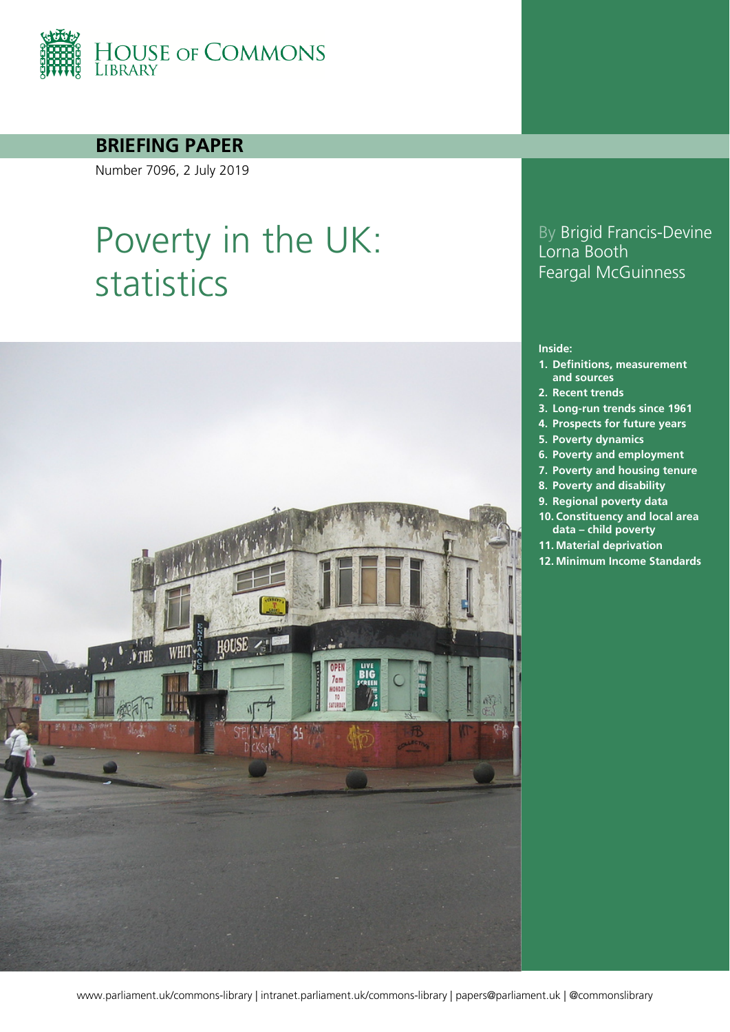

### **BRIEFING PAPER**

Number 7096, 2 July 2019

# Poverty in the UK: statistics



### By Brigid Francis-Devine Lorna Booth Feargal McGuinness

#### **Inside:**

- **1. [Definitions, measurement](#page-5-0)  [and sources](#page-5-0)**
- **2. [Recent trends](#page-9-0)**
- **3. [Long-run trends since 1961](#page-17-0)**
- **4. [Prospects for future years](#page-19-0)**
- **5. [Poverty dynamics](#page-22-0)**
- **6. [Poverty and employment](#page-28-0)**
- **7. [Poverty and housing tenure](#page-30-0)**
- **8. [Poverty and disability](#page-32-0)**
- **9. [Regional poverty data](#page-33-0)**
- **10. [Constituency and local area](#page-35-0)  data – [child poverty](#page-35-0)**
- **11. [Material deprivation](#page-37-0)**
- **12. [Minimum Income Standards](#page-39-0)**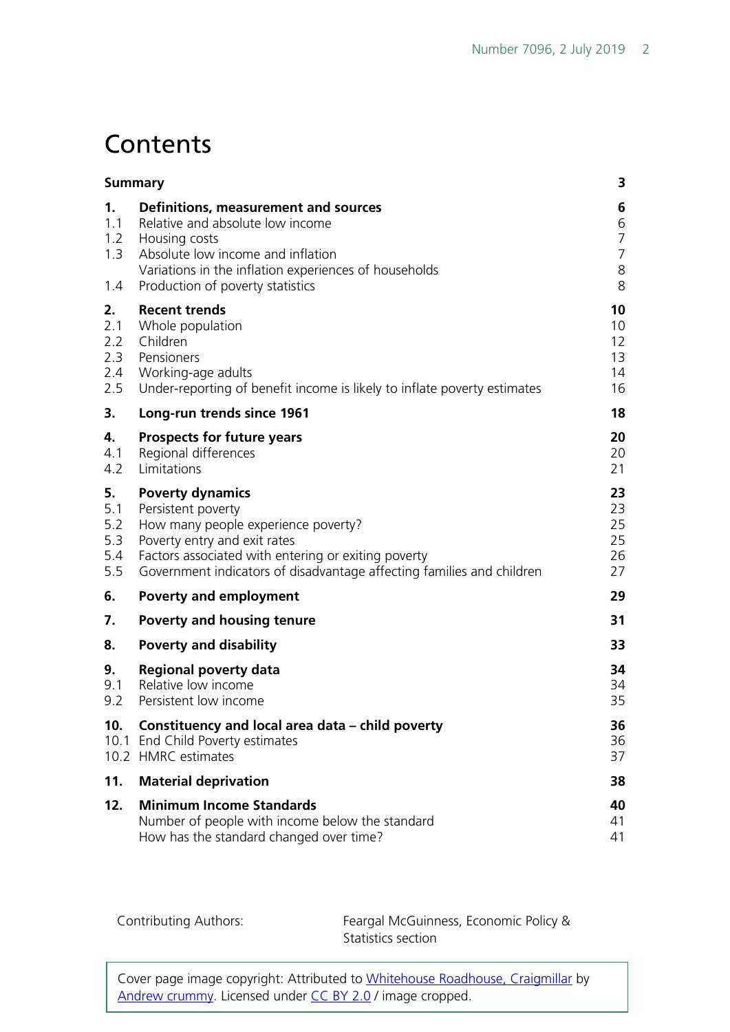# **Contents**

| <b>Summary</b>                        |                                                                                                                                                                                                                                                      | 3                                                    |
|---------------------------------------|------------------------------------------------------------------------------------------------------------------------------------------------------------------------------------------------------------------------------------------------------|------------------------------------------------------|
| 1.<br>1.1<br>1.2<br>1.3<br>1.4        | Definitions, measurement and sources<br>Relative and absolute low income<br>Housing costs<br>Absolute low income and inflation<br>Variations in the inflation experiences of households<br>Production of poverty statistics                          | 6<br>6<br>$\overline{7}$<br>$\overline{7}$<br>8<br>8 |
| 2.<br>2.1<br>2.2<br>2.3<br>2.4<br>2.5 | <b>Recent trends</b><br>Whole population<br>Children<br>Pensioners<br>Working-age adults<br>Under-reporting of benefit income is likely to inflate poverty estimates                                                                                 | 10<br>10<br>12<br>13<br>14<br>16                     |
| 3.                                    | Long-run trends since 1961                                                                                                                                                                                                                           | 18                                                   |
| 4.<br>4.1<br>4.2                      | <b>Prospects for future years</b><br>Regional differences<br>Limitations                                                                                                                                                                             | 20<br>20<br>21                                       |
| 5.<br>5.1<br>5.2<br>5.3<br>5.4<br>5.5 | <b>Poverty dynamics</b><br>Persistent poverty<br>How many people experience poverty?<br>Poverty entry and exit rates<br>Factors associated with entering or exiting poverty<br>Government indicators of disadvantage affecting families and children | 23<br>23<br>25<br>25<br>26<br>27                     |
| 6.                                    | <b>Poverty and employment</b>                                                                                                                                                                                                                        | 29                                                   |
| 7.                                    | Poverty and housing tenure                                                                                                                                                                                                                           | 31                                                   |
| 8.                                    | <b>Poverty and disability</b>                                                                                                                                                                                                                        | 33                                                   |
| 9.<br>9.1<br>9.2                      | <b>Regional poverty data</b><br>Relative low income<br>Persistent low income                                                                                                                                                                         | 34<br>34<br>35                                       |
| 10.                                   | Constituency and local area data – child poverty<br>10.1 End Child Poverty estimates<br>10.2 HMRC estimates                                                                                                                                          | 36<br>36<br>37                                       |
| 11.                                   | <b>Material deprivation</b>                                                                                                                                                                                                                          | 38                                                   |
| 12.                                   | <b>Minimum Income Standards</b><br>Number of people with income below the standard<br>How has the standard changed over time?                                                                                                                        | 40<br>41<br>41                                       |

Contributing Authors: Feargal McGuinness, Economic Policy & Statistics section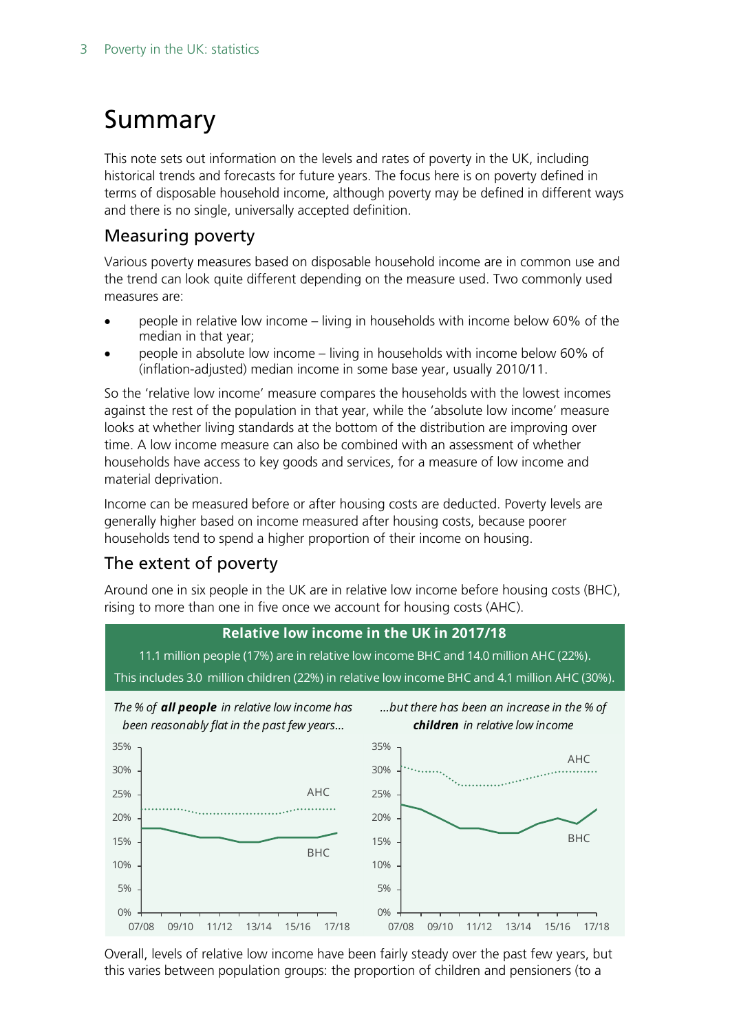# <span id="page-2-0"></span>Summary

This note sets out information on the levels and rates of poverty in the UK, including historical trends and forecasts for future years. The focus here is on poverty defined in terms of disposable household income, although poverty may be defined in different ways and there is no single, universally accepted definition.

### Measuring poverty

Various poverty measures based on disposable household income are in common use and the trend can look quite different depending on the measure used. Two commonly used measures are:

- people in relative low income living in households with income below 60% of the median in that year;
- people in absolute low income living in households with income below 60% of (inflation-adjusted) median income in some base year, usually 2010/11.

So the 'relative low income' measure compares the households with the lowest incomes against the rest of the population in that year, while the 'absolute low income' measure looks at whether living standards at the bottom of the distribution are improving over time. A low income measure can also be combined with an assessment of whether households have access to key goods and services, for a measure of low income and material deprivation.

Income can be measured before or after housing costs are deducted. Poverty levels are generally higher based on income measured after housing costs, because poorer households tend to spend a higher proportion of their income on housing.

### The extent of poverty

Around one in six people in the UK are in relative low income before housing costs (BHC), rising to more than one in five once we account for housing costs (AHC).



Overall, levels of relative low income have been fairly steady over the past few years, but this varies between population groups: the proportion of children and pensioners (to a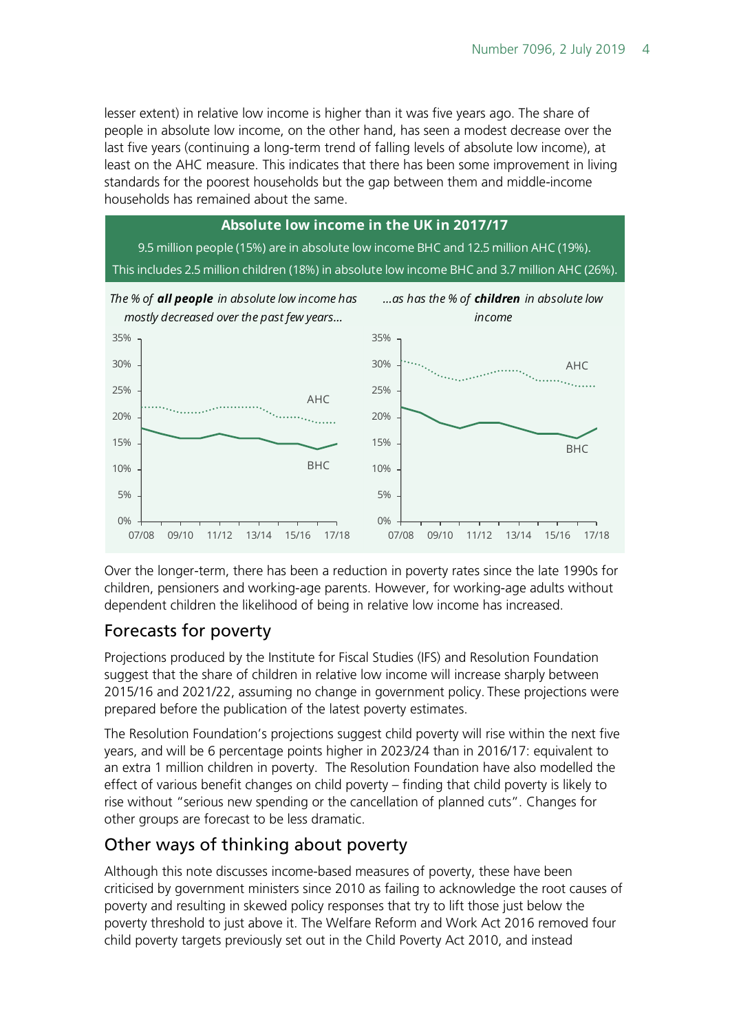lesser extent) in relative low income is higher than it was five years ago. The share of people in absolute low income, on the other hand, has seen a modest decrease over the last five years (continuing a long-term trend of falling levels of absolute low income), at least on the AHC measure. This indicates that there has been some improvement in living standards for the poorest households but the gap between them and middle-income households has remained about the same.



Over the longer-term, there has been a reduction in poverty rates since the late 1990s for children, pensioners and working-age parents. However, for working-age adults without dependent children the likelihood of being in relative low income has increased.

### Forecasts for poverty

Projections produced by the Institute for Fiscal Studies (IFS) and Resolution Foundation suggest that the share of children in relative low income will increase sharply between 2015/16 and 2021/22, assuming no change in government policy. These projections were prepared before the publication of the latest poverty estimates.

The Resolution Foundation's projections suggest child poverty will rise within the next five years, and will be 6 percentage points higher in 2023/24 than in 2016/17: equivalent to an extra 1 million children in poverty. The Resolution Foundation have also modelled the effect of various benefit changes on child poverty – finding that child poverty is likely to rise without "serious new spending or the cancellation of planned cuts". Changes for other groups are forecast to be less dramatic.

### Other ways of thinking about poverty

Although this note discusses income-based measures of poverty, these have been criticised by government ministers since 2010 as failing to acknowledge the root causes of poverty and resulting in skewed policy responses that try to lift those just below the poverty threshold to just above it. The Welfare Reform and Work Act 2016 removed four child poverty targets previously set out in the Child Poverty Act 2010, and instead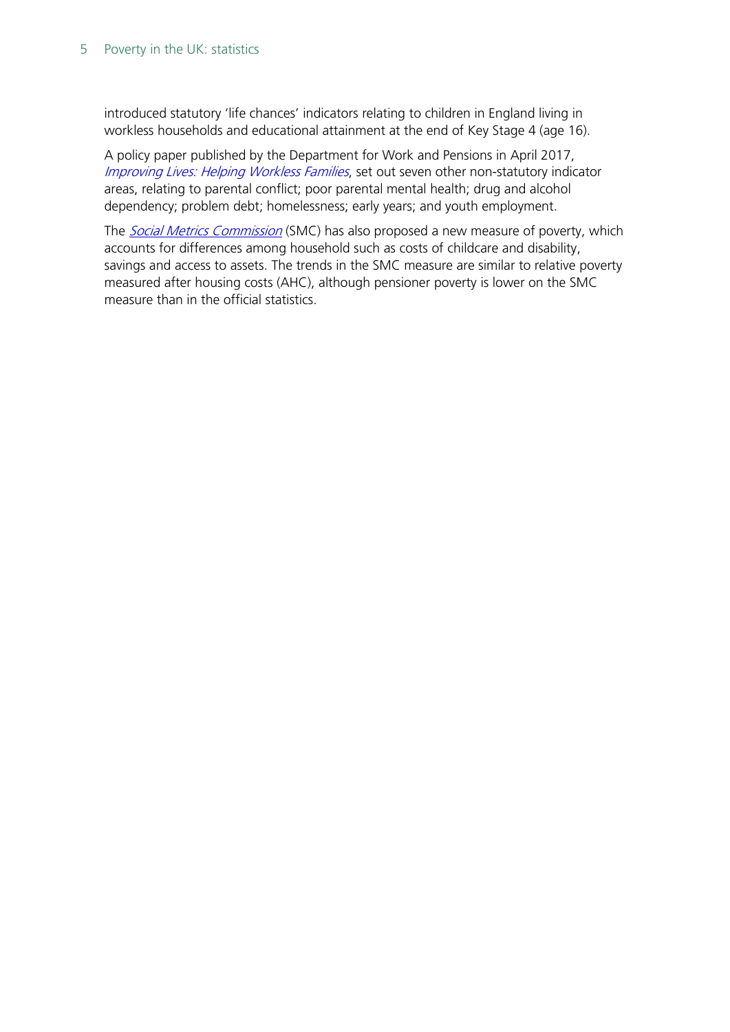introduced statutory 'life chances' indicators relating to children in England living in workless households and educational attainment at the end of Key Stage 4 (age 16).

A policy paper published by the Department for Work and Pensions in April 2017, [Improving Lives: Helping Workless Families](https://www.gov.uk/government/publications/improving-lives-helping-workless-families), set out seven other non-statutory indicator areas, relating to parental conflict; poor parental mental health; drug and alcohol dependency; problem debt; homelessness; early years; and youth employment.

The **[Social Metrics Commission](http://socialmetricscommission.org.uk/)** (SMC) has also proposed a new measure of poverty, which accounts for differences among household such as costs of childcare and disability, savings and access to assets. The trends in the SMC measure are similar to relative poverty measured after housing costs (AHC), although pensioner poverty is lower on the SMC measure than in the official statistics.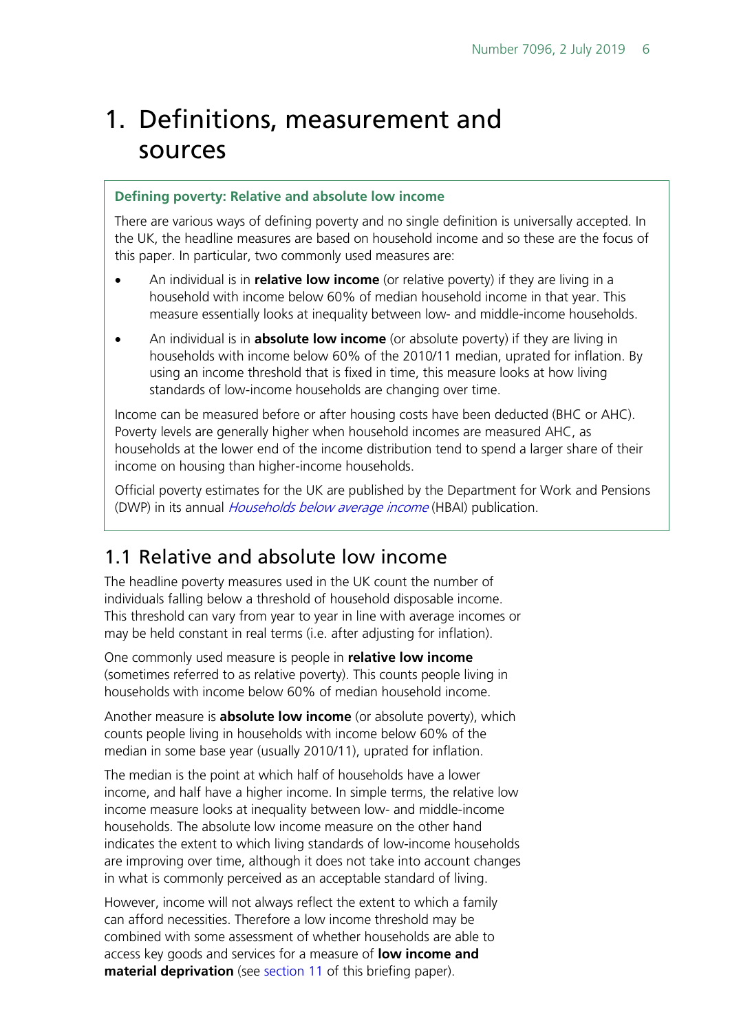# <span id="page-5-0"></span>1. Definitions, measurement and sources

#### **Defining poverty: Relative and absolute low income**

There are various ways of defining poverty and no single definition is universally accepted. In the UK, the headline measures are based on household income and so these are the focus of this paper. In particular, two commonly used measures are:

- An individual is in **relative low income** (or relative poverty) if they are living in a household with income below 60% of median household income in that year. This measure essentially looks at inequality between low- and middle-income households.
- An individual is in **absolute low income** (or absolute poverty) if they are living in households with income below 60% of the 2010/11 median, uprated for inflation. By using an income threshold that is fixed in time, this measure looks at how living standards of low-income households are changing over time.

Income can be measured before or after housing costs have been deducted (BHC or AHC). Poverty levels are generally higher when household incomes are measured AHC, as households at the lower end of the income distribution tend to spend a larger share of their income on housing than higher-income households.

Official poverty estimates for the UK are published by the Department for Work and Pensions (DWP) in its annual *[Households below average income](https://www.gov.uk/government/collections/households-below-average-income-hbai--2)* (HBAI) publication.

### <span id="page-5-1"></span>1.1 Relative and absolute low income

The headline poverty measures used in the UK count the number of individuals falling below a threshold of household disposable income. This threshold can vary from year to year in line with average incomes or may be held constant in real terms (i.e. after adjusting for inflation).

One commonly used measure is people in **relative low income** (sometimes referred to as relative poverty). This counts people living in households with income below 60% of median household income.

Another measure is **absolute low income** (or absolute poverty), which counts people living in households with income below 60% of the median in some base year (usually 2010/11), uprated for inflation.

The median is the point at which half of households have a lower income, and half have a higher income. In simple terms, the relative low income measure looks at inequality between low- and middle-income households. The absolute low income measure on the other hand indicates the extent to which living standards of low-income households are improving over time, although it does not take into account changes in what is commonly perceived as an acceptable standard of living.

However, income will not always reflect the extent to which a family can afford necessities. Therefore a low income threshold may be combined with some assessment of whether households are able to access key goods and services for a measure of **low income and material deprivation** (see [section 11](#page-37-0) of this briefing paper).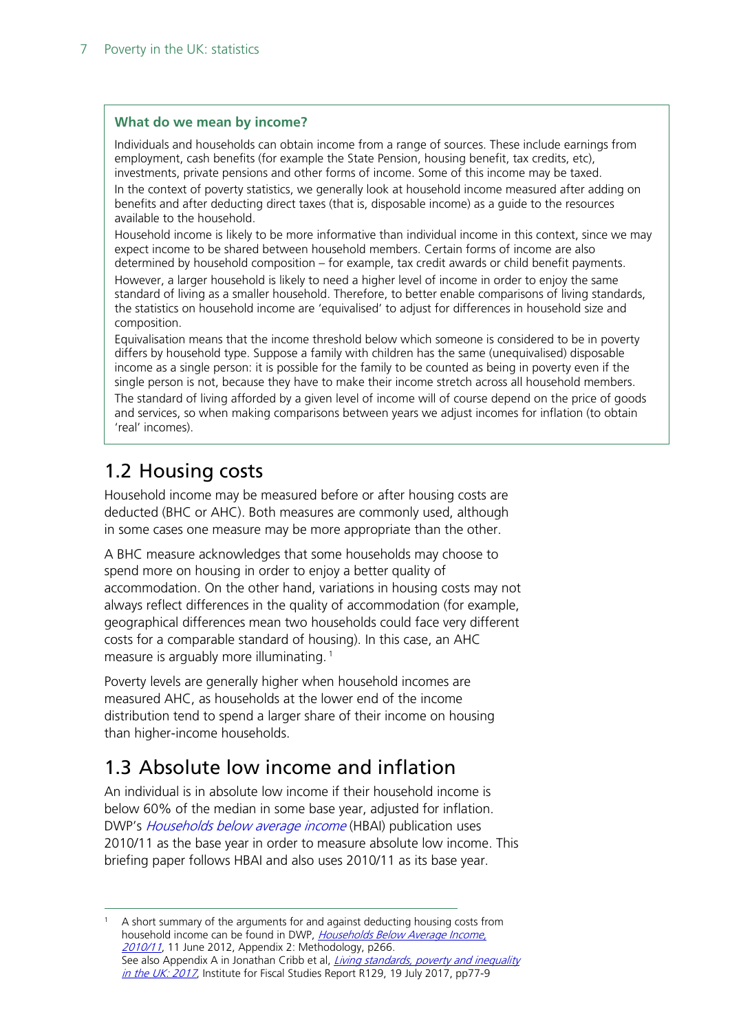#### **What do we mean by income?**

Individuals and households can obtain income from a range of sources. These include earnings from employment, cash benefits (for example the State Pension, housing benefit, tax credits, etc), investments, private pensions and other forms of income. Some of this income may be taxed. In the context of poverty statistics, we generally look at household income measured after adding on benefits and after deducting direct taxes (that is, disposable income) as a guide to the resources available to the household.

Household income is likely to be more informative than individual income in this context, since we may expect income to be shared between household members. Certain forms of income are also determined by household composition – for example, tax credit awards or child benefit payments. However, a larger household is likely to need a higher level of income in order to enjoy the same standard of living as a smaller household. Therefore, to better enable comparisons of living standards, the statistics on household income are 'equivalised' to adjust for differences in household size and composition.

Equivalisation means that the income threshold below which someone is considered to be in poverty differs by household type. Suppose a family with children has the same (unequivalised) disposable income as a single person: it is possible for the family to be counted as being in poverty even if the single person is not, because they have to make their income stretch across all household members. The standard of living afforded by a given level of income will of course depend on the price of goods and services, so when making comparisons between years we adjust incomes for inflation (to obtain 'real' incomes).

## <span id="page-6-0"></span>1.2 Housing costs

Household income may be measured before or after housing costs are deducted (BHC or AHC). Both measures are commonly used, although in some cases one measure may be more appropriate than the other.

A BHC measure acknowledges that some households may choose to spend more on housing in order to enjoy a better quality of accommodation. On the other hand, variations in housing costs may not always reflect differences in the quality of accommodation (for example, geographical differences mean two households could face very different costs for a comparable standard of housing). In this case, an AHC measure is arguably more illuminating.<sup>[1](#page-6-2)</sup>

Poverty levels are generally higher when household incomes are measured AHC, as households at the lower end of the income distribution tend to spend a larger share of their income on housing than higher-income households.

## <span id="page-6-1"></span>1.3 Absolute low income and inflation

An individual is in absolute low income if their household income is below 60% of the median in some base year, adjusted for inflation. DWP's *[Households below average income](https://www.gov.uk/government/collections/households-below-average-income-hbai--2)* (HBAI) publication uses 2010/11 as the base year in order to measure absolute low income. This briefing paper follows HBAI and also uses 2010/11 as its base year.

<span id="page-6-2"></span> 1 A short summary of the arguments for and against deducting housing costs from household income can be found in DWP, Households Below Average Income. [2010/11](https://www.gov.uk/government/uploads/system/uploads/attachment_data/file/200775/appendix_2_hbai12.pdf), 11 June 2012, Appendix 2: Methodology, p266. See also Appendix A in Jonathan Cribb et al, *Living standards, poverty and inequality* [in the UK: 2017](https://www.ifs.org.uk/publications/9539), Institute for Fiscal Studies Report R129, 19 July 2017, pp77-9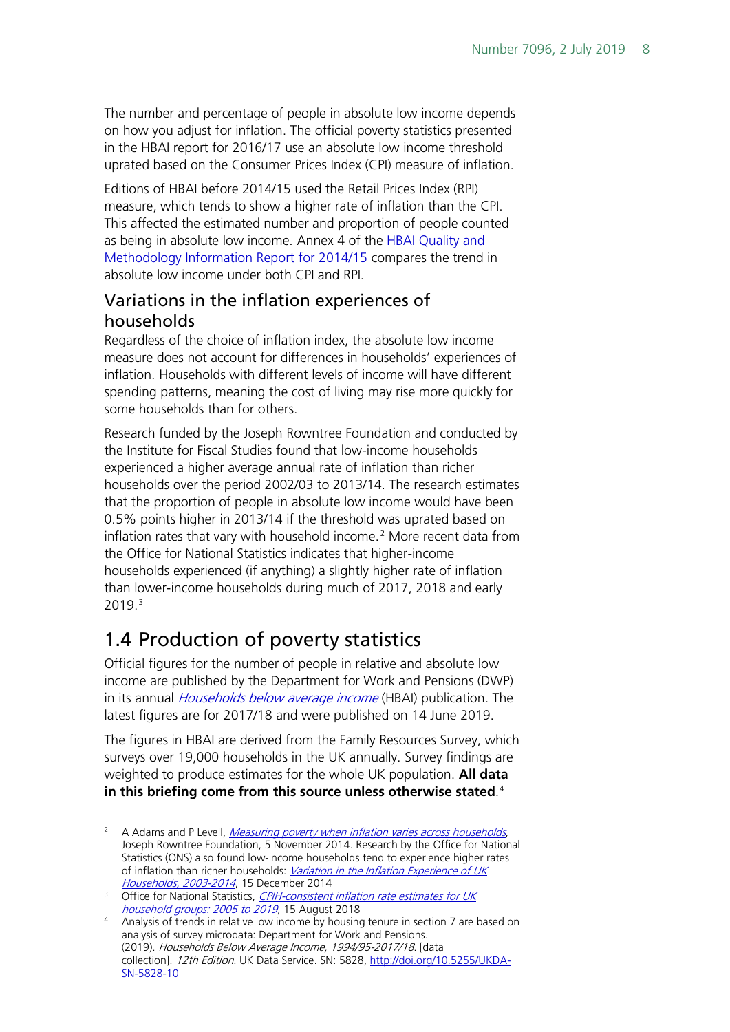The number and percentage of people in absolute low income depends on how you adjust for inflation. The official poverty statistics presented in the HBAI report for 2016/17 use an absolute low income threshold uprated based on the Consumer Prices Index (CPI) measure of inflation.

Editions of HBAI before 2014/15 used the Retail Prices Index (RPI) measure, which tends to show a higher rate of inflation than the CPI. This affected the estimated number and proportion of people counted as being in absolute low income. Annex 4 of the [HBAI Quality and](https://www.gov.uk/government/statistics/households-below-average-income-19941995-to-20132014)  [Methodology Information Report for 2014/15](https://www.gov.uk/government/statistics/households-below-average-income-19941995-to-20132014) compares the trend in absolute low income under both CPI and RPI.

### <span id="page-7-0"></span>Variations in the inflation experiences of households

Regardless of the choice of inflation index, the absolute low income measure does not account for differences in households' experiences of inflation. Households with different levels of income will have different spending patterns, meaning the cost of living may rise more quickly for some households than for others.

Research funded by the Joseph Rowntree Foundation and conducted by the Institute for Fiscal Studies found that low-income households experienced a higher average annual rate of inflation than richer households over the period 2002/03 to 2013/14. The research estimates that the proportion of people in absolute low income would have been 0.5% points higher in 2013/14 if the threshold was uprated based on inflation rates that vary with household income.<sup>[2](#page-7-2)</sup> More recent data from the Office for National Statistics indicates that higher-income households experienced (if anything) a slightly higher rate of inflation than lower-income households during much of 2017, 2018 and early 2019. [3](#page-7-3)

## <span id="page-7-1"></span>1.4 Production of poverty statistics

Official figures for the number of people in relative and absolute low income are published by the Department for Work and Pensions (DWP) in its annual *[Households below average income](https://www.gov.uk/government/collections/households-below-average-income-hbai--2)* (HBAI) publication. The latest figures are for 2017/18 and were published on 14 June 2019.

The figures in HBAI are derived from the Family Resources Survey, which surveys over 19,000 households in the UK annually. Survey findings are weighted to produce estimates for the whole UK population. **All data in this briefing come from this source unless otherwise stated**. [4](#page-7-4)

<span id="page-7-2"></span><sup>&</sup>lt;sup>2</sup> A Adams and P Levell, *[Measuring poverty when inflation varies across households](http://www.jrf.org.uk/publications/measuring-poverty-inflation)*, Joseph Rowntree Foundation, 5 November 2014. Research by the Office for National Statistics (ONS) also found low-income households tend to experience higher rates of inflation than richer households: Variation in the Inflation Experience of UK [Households, 2003-2014](http://www.ons.gov.uk/ons/rel/elmr/variation-in-the-inflation-experience-of-uk-households/2003-2014/index.html), 15 December 2014

<span id="page-7-3"></span><sup>&</sup>lt;sup>3</sup> Office for National Statistics, *CPIH-consistent inflation rate estimates for UK* [household groups: 2005 to 2019](https://www.ons.gov.uk/economy/inflationandpriceindices/articles/cpihconsistentinflationrateestimatesforukhouseholdgroups20052017/2005to2019/relateddata), 15 August 2018

<span id="page-7-4"></span><sup>4</sup> Analysis of trends in relative low income by housing tenure in section 7 are based on analysis of survey microdata: Department for Work and Pensions. (2019). Households Below Average Income, 1994/95-2017/18. [data collection]. 12th Edition. UK Data Service. SN: 5828, http://doi.org/10.5255/UKDA-SN-5828-10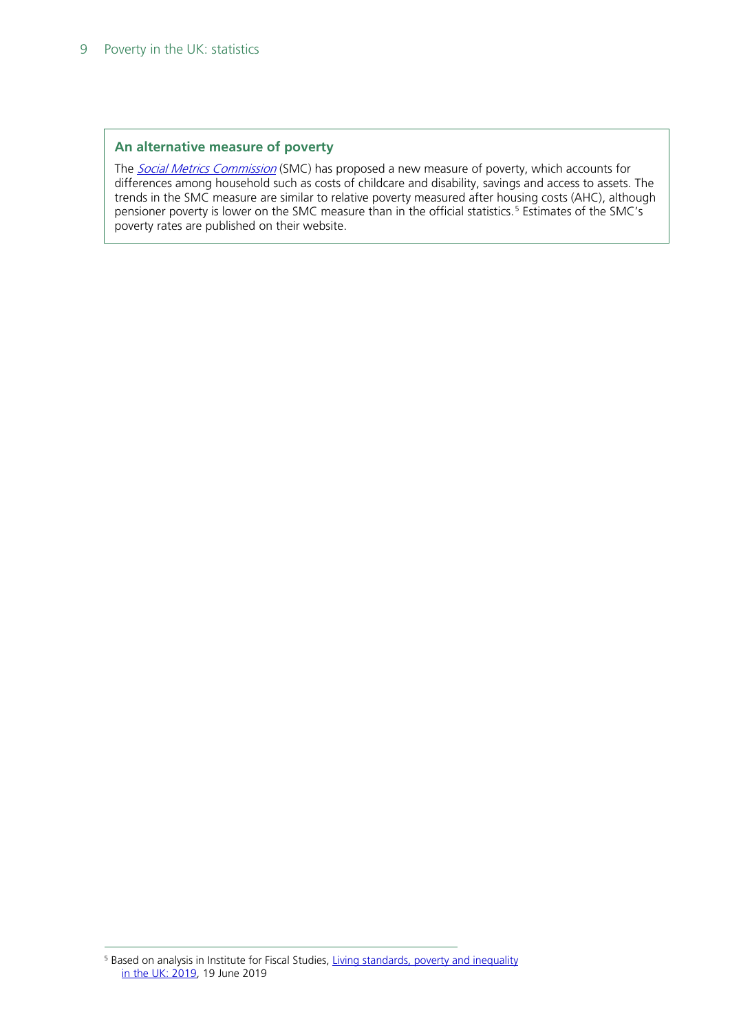#### **An alternative measure of poverty**

The **[Social Metrics Commission](http://socialmetricscommission.org.uk/)** (SMC) has proposed a new measure of poverty, which accounts for differences among household such as costs of childcare and disability, savings and access to assets. The trends in the SMC measure are similar to relative poverty measured after housing costs (AHC), although pensioner poverty is lower on the SMC measure than in the official statistics.<sup>[5](#page-8-0)</sup> Estimates of the SMC's poverty rates are published on their website.

<span id="page-8-0"></span><sup>&</sup>lt;sup>5</sup> Based on analysis in Institute for Fiscal Studies, Living standards, poverty and inequality [in the UK: 2019,](https://www.ifs.org.uk/publications/14193) 19 June 2019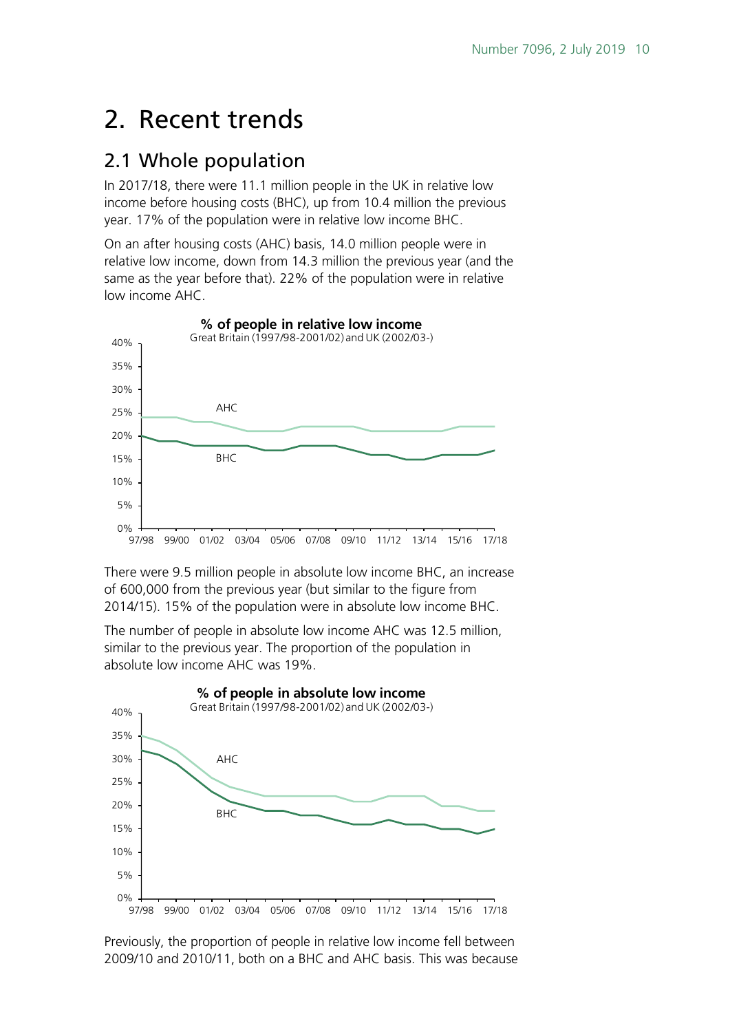# <span id="page-9-0"></span>2. Recent trends

### <span id="page-9-1"></span>2.1 Whole population

In 2017/18, there were 11.1 million people in the UK in relative low income before housing costs (BHC), up from 10.4 million the previous year. 17% of the population were in relative low income BHC.

On an after housing costs (AHC) basis, 14.0 million people were in relative low income, down from 14.3 million the previous year (and the same as the year before that). 22% of the population were in relative low income AHC.



There were 9.5 million people in absolute low income BHC, an increase of 600,000 from the previous year (but similar to the figure from 2014/15). 15% of the population were in absolute low income BHC.

The number of people in absolute low income AHC was 12.5 million, similar to the previous year. The proportion of the population in absolute low income AHC was 19%.



Previously, the proportion of people in relative low income fell between 2009/10 and 2010/11, both on a BHC and AHC basis. This was because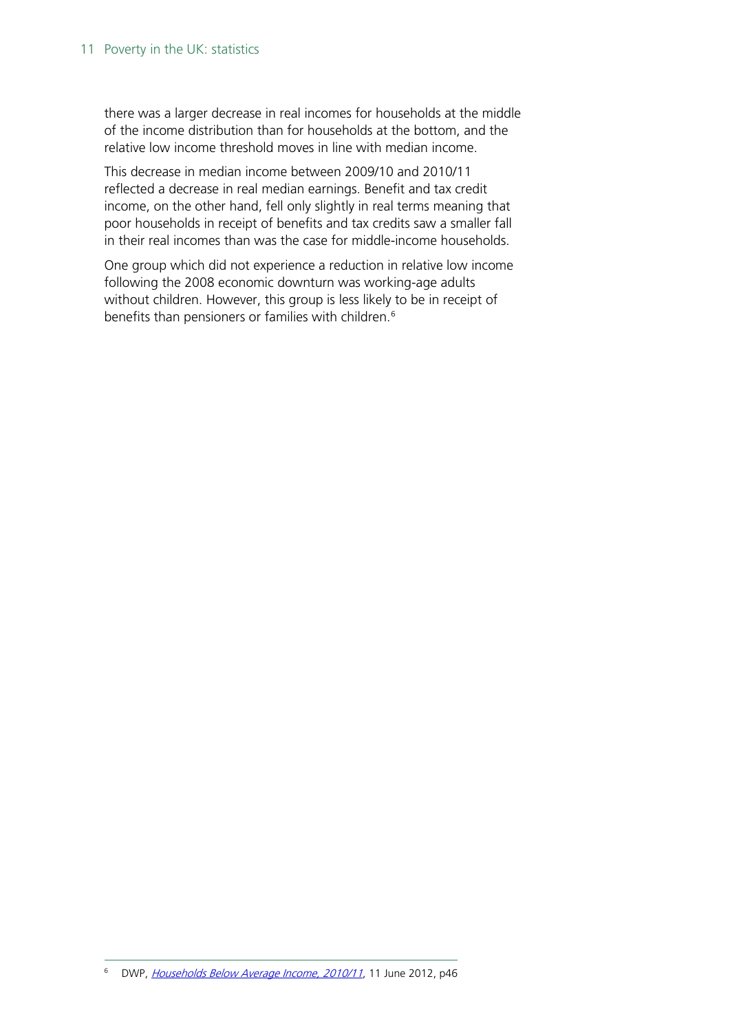#### 11 Poverty in the UK: statistics

there was a larger decrease in real incomes for households at the middle of the income distribution than for households at the bottom, and the relative low income threshold moves in line with median income.

This decrease in median income between 2009/10 and 2010/11 reflected a decrease in real median earnings. Benefit and tax credit income, on the other hand, fell only slightly in real terms meaning that poor households in receipt of benefits and tax credits saw a smaller fall in their real incomes than was the case for middle-income households.

<span id="page-10-0"></span>One group which did not experience a reduction in relative low income following the 2008 economic downturn was working-age adults without children. However, this group is less likely to be in receipt of benefits than pensioners or families with children.<sup>[6](#page-10-0)</sup>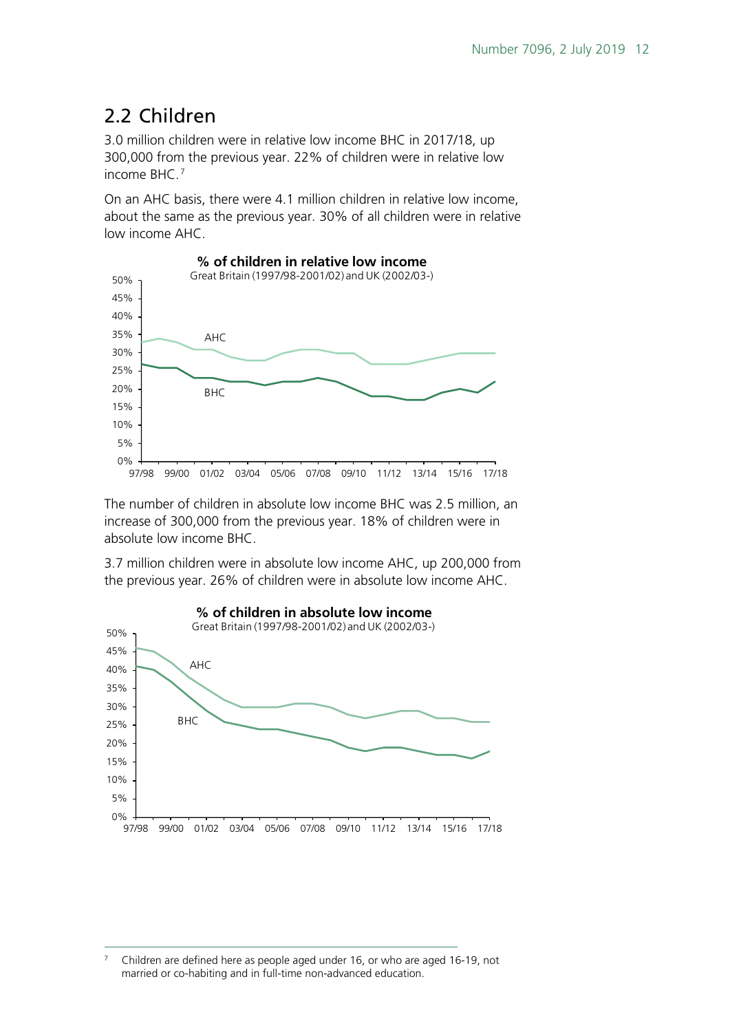## <span id="page-11-0"></span>2.2 Children

3.0 million children were in relative low income BHC in 2017/18, up 300,000 from the previous year. 22% of children were in relative low income BHC. [7](#page-11-1)

On an AHC basis, there were 4.1 million children in relative low income, about the same as the previous year. 30% of all children were in relative low income AHC.



The number of children in absolute low income BHC was 2.5 million, an increase of 300,000 from the previous year. 18% of children were in absolute low income BHC.

3.7 million children were in absolute low income AHC, up 200,000 from the previous year. 26% of children were in absolute low income AHC.



<span id="page-11-1"></span> 7 Children are defined here as people aged under 16, or who are aged 16-19, not married or co-habiting and in full-time non-advanced education.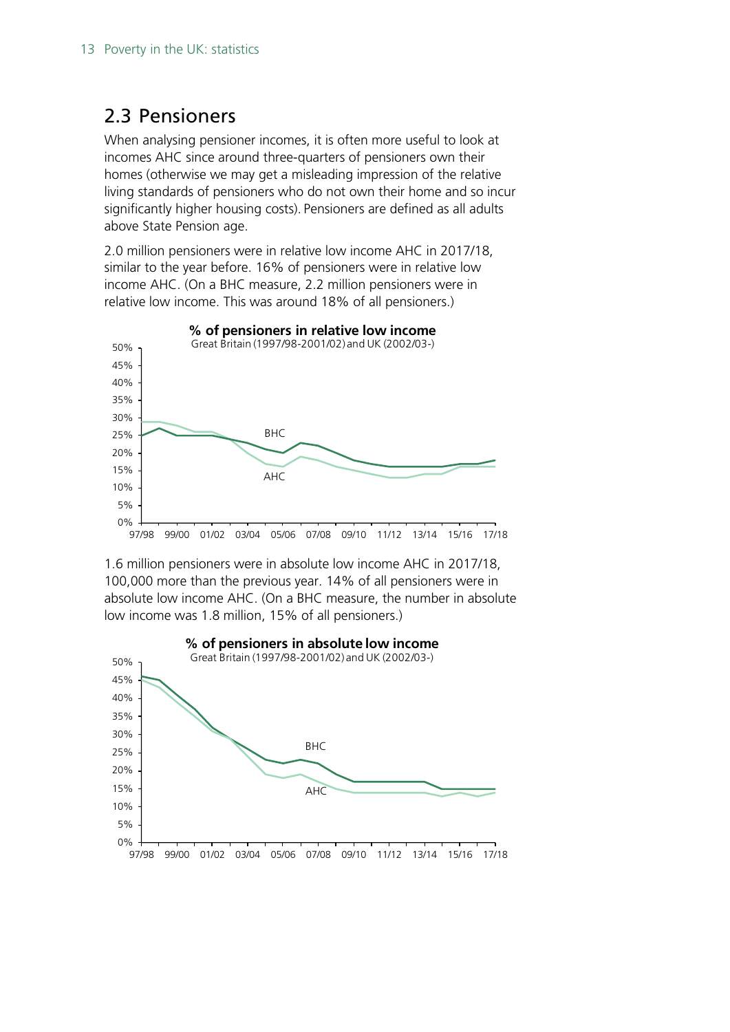### <span id="page-12-0"></span>2.3 Pensioners

When analysing pensioner incomes, it is often more useful to look at incomes AHC since around three-quarters of pensioners own their homes (otherwise we may get a misleading impression of the relative living standards of pensioners who do not own their home and so incur significantly higher housing costs). Pensioners are defined as all adults above State Pension age.

2.0 million pensioners were in relative low income AHC in 2017/18, similar to the year before. 16% of pensioners were in relative low income AHC. (On a BHC measure, 2.2 million pensioners were in relative low income. This was around 18% of all pensioners.)



1.6 million pensioners were in absolute low income AHC in 2017/18, 100,000 more than the previous year. 14% of all pensioners were in absolute low income AHC. (On a BHC measure, the number in absolute low income was 1.8 million, 15% of all pensioners.)

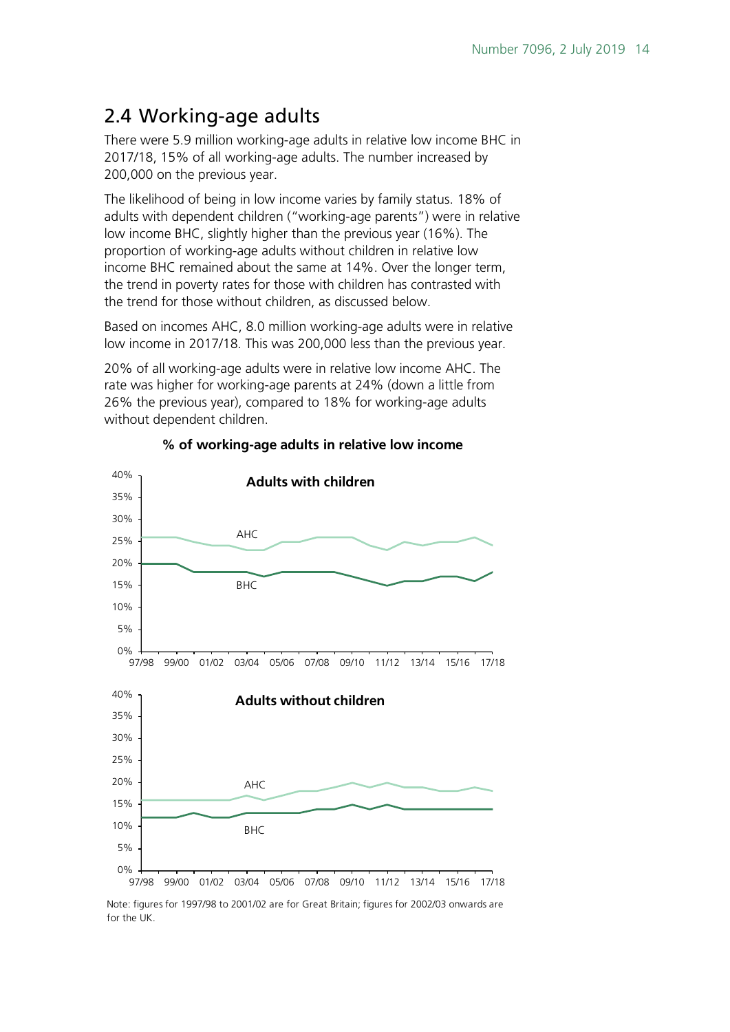## <span id="page-13-0"></span>2.4 Working-age adults

There were 5.9 million working-age adults in relative low income BHC in 2017/18, 15% of all working-age adults. The number increased by 200,000 on the previous year.

The likelihood of being in low income varies by family status. 18% of adults with dependent children ("working-age parents") were in relative low income BHC, slightly higher than the previous year (16%). The proportion of working-age adults without children in relative low income BHC remained about the same at 14%. Over the longer term, the trend in poverty rates for those with children has contrasted with the trend for those without children, as discussed below.

Based on incomes AHC, 8.0 million working-age adults were in relative low income in 2017/18. This was 200,000 less than the previous year.

20% of all working-age adults were in relative low income AHC. The rate was higher for working-age parents at 24% (down a little from 26% the previous year), compared to 18% for working-age adults without dependent children.



#### **% of working-age adults in relative low income**

Note: figures for 1997/98 to 2001/02 are for Great Britain; figures for 2002/03 onwards are for the UK.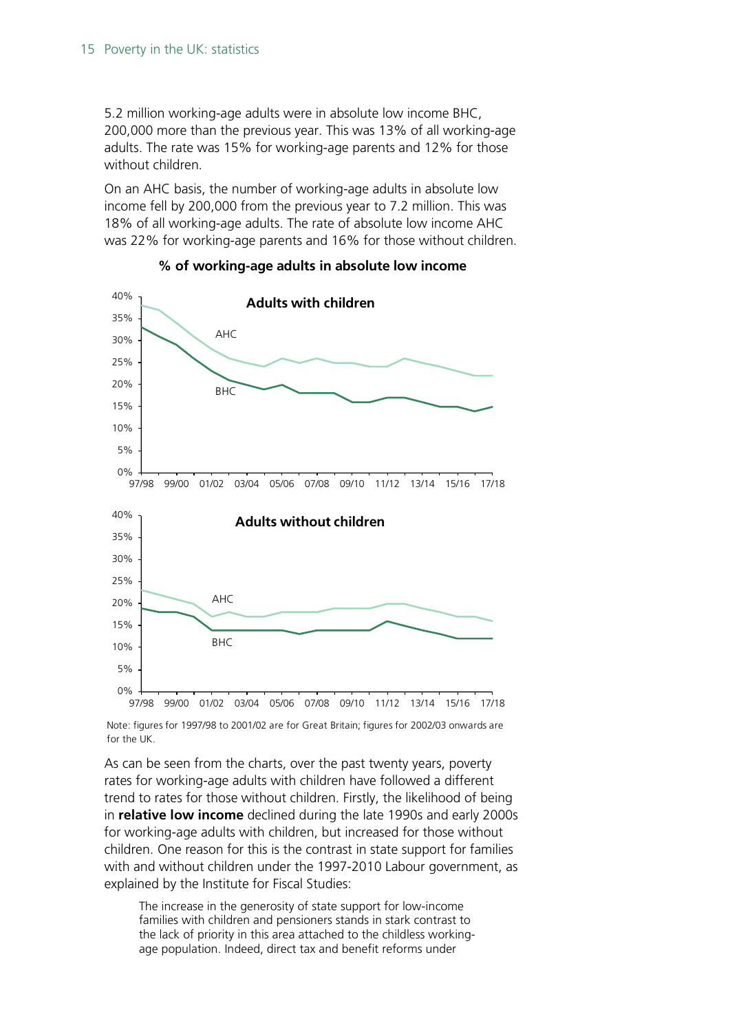5.2 million working-age adults were in absolute low income BHC, 200,000 more than the previous year. This was 13% of all working-age adults. The rate was 15% for working-age parents and 12% for those without children.

On an AHC basis, the number of working-age adults in absolute low income fell by 200,000 from the previous year to 7.2 million. This was 18% of all working-age adults. The rate of absolute low income AHC was 22% for working-age parents and 16% for those without children.



**% of working-age adults in absolute low income**

Note: figures for 1997/98 to 2001/02 are for Great Britain; figures for 2002/03 onwards are for the UK.

As can be seen from the charts, over the past twenty years, poverty rates for working-age adults with children have followed a different trend to rates for those without children. Firstly, the likelihood of being in **relative low income** declined during the late 1990s and early 2000s for working-age adults with children, but increased for those without children. One reason for this is the contrast in state support for families with and without children under the 1997-2010 Labour government, as explained by the Institute for Fiscal Studies:

The increase in the generosity of state support for low-income families with children and pensioners stands in stark contrast to the lack of priority in this area attached to the childless workingage population. Indeed, direct tax and benefit reforms under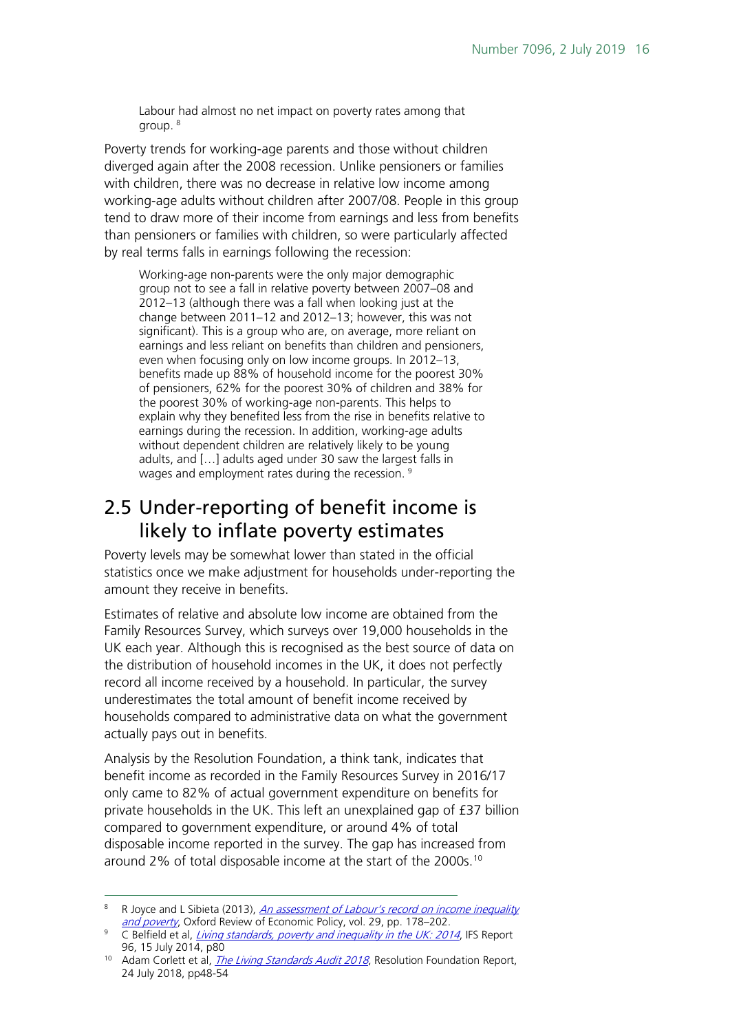Labour had almost no net impact on poverty rates among that group. [8](#page-15-1)

Poverty trends for working-age parents and those without children diverged again after the 2008 recession. Unlike pensioners or families with children, there was no decrease in relative low income among working-age adults without children after 2007/08. People in this group tend to draw more of their income from earnings and less from benefits than pensioners or families with children, so were particularly affected by real terms falls in earnings following the recession:

Working-age non-parents were the only major demographic group not to see a fall in relative poverty between 2007–08 and 2012–13 (although there was a fall when looking just at the change between 2011–12 and 2012–13; however, this was not significant). This is a group who are, on average, more reliant on earnings and less reliant on benefits than children and pensioners, even when focusing only on low income groups. In 2012–13, benefits made up 88% of household income for the poorest 30% of pensioners, 62% for the poorest 30% of children and 38% for the poorest 30% of working-age non-parents. This helps to explain why they benefited less from the rise in benefits relative to earnings during the recession. In addition, working-age adults without dependent children are relatively likely to be young adults, and […] adults aged under 30 saw the largest falls in wages and employment rates during the recession.<sup>[9](#page-15-2)</sup>

## <span id="page-15-0"></span>2.5 Under-reporting of benefit income is likely to inflate poverty estimates

Poverty levels may be somewhat lower than stated in the official statistics once we make adjustment for households under-reporting the amount they receive in benefits.

Estimates of relative and absolute low income are obtained from the Family Resources Survey, which surveys over 19,000 households in the UK each year. Although this is recognised as the best source of data on the distribution of household incomes in the UK, it does not perfectly record all income received by a household. In particular, the survey underestimates the total amount of benefit income received by households compared to administrative data on what the government actually pays out in benefits.

Analysis by the Resolution Foundation, a think tank, indicates that benefit income as recorded in the Family Resources Survey in 2016/17 only came to 82% of actual government expenditure on benefits for private households in the UK. This left an unexplained gap of £37 billion compared to government expenditure, or around 4% of total disposable income reported in the survey. The gap has increased from around 2% of total disposable income at the start of the 2000s.<sup>[10](#page-15-3)</sup>

<span id="page-15-1"></span><sup>&</sup>lt;sup>8</sup> R Joyce and L Sibieta (2013), *An assessment of Labour's record on income inequality* [and poverty](http://oxrep.oxfordjournals.org/content/29/1/178.abstract), Oxford Review of Economic Policy, vol. 29, pp. 178–202.

<span id="page-15-2"></span><sup>&</sup>lt;sup>9</sup> C Belfield et al, *[Living standards, poverty and inequality in the UK: 2014](http://www.ifs.org.uk/publications/7274)*, IFS Report 96, 15 July 2014, p80

<span id="page-15-3"></span><sup>&</sup>lt;sup>10</sup> Adam Corlett et al, *[The Living Standards Audit 2018](https://www.resolutionfoundation.org/publications/the-living-standards-audit-2018/)*, Resolution Foundation Report, 24 July 2018, pp48-54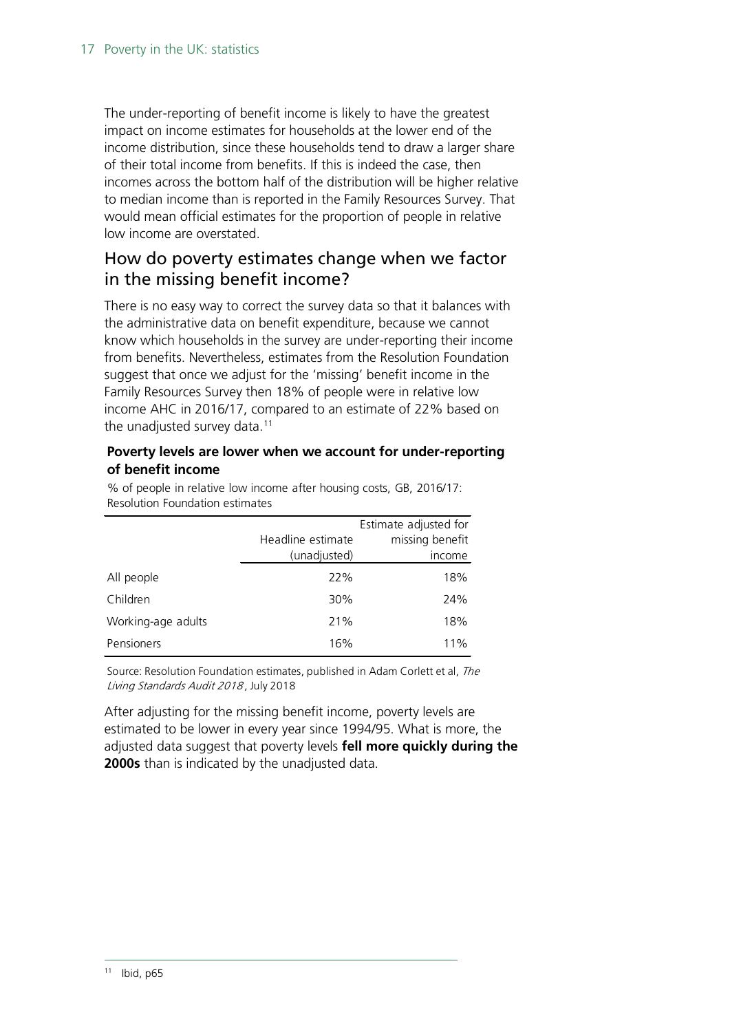The under-reporting of benefit income is likely to have the greatest impact on income estimates for households at the lower end of the income distribution, since these households tend to draw a larger share of their total income from benefits. If this is indeed the case, then incomes across the bottom half of the distribution will be higher relative to median income than is reported in the Family Resources Survey. That would mean official estimates for the proportion of people in relative low income are overstated.

### How do poverty estimates change when we factor in the missing benefit income?

There is no easy way to correct the survey data so that it balances with the administrative data on benefit expenditure, because we cannot know which households in the survey are under-reporting their income from benefits. Nevertheless, estimates from the Resolution Foundation suggest that once we adjust for the 'missing' benefit income in the Family Resources Survey then 18% of people were in relative low income AHC in 2016/17, compared to an estimate of 22% based on the unadjusted survey data.<sup>[11](#page-16-0)</sup>

#### **Poverty levels are lower when we account for under-reporting of benefit income**

Headline estimate (unadjusted) Estimate adjusted for missing benefit income All people 22% 22% 18% Resolution Foundation estimates

Children 30% 24% Working-age adults 21% 2008 2019 Pensioners 16% 16% 11%

% of people in relative low income after housing costs, GB, 2016/17:

Source: Resolution Foundation estimates, published in Adam Corlett et al, The Living Standards Audit 2018 , July 2018

<span id="page-16-0"></span>After adjusting for the missing benefit income, poverty levels are estimated to be lower in every year since 1994/95. What is more, the adjusted data suggest that poverty levels **fell more quickly during the 2000s** than is indicated by the unadjusted data.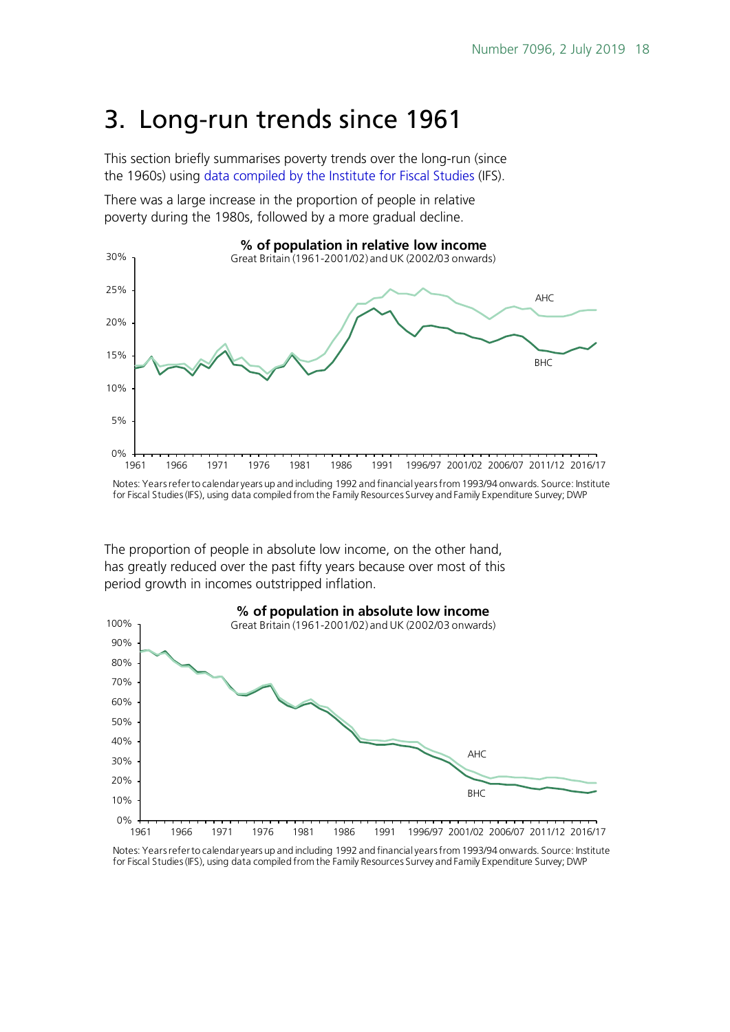# <span id="page-17-0"></span>3. Long-run trends since 1961

This section briefly summarises poverty trends over the long-run (since the 1960s) using [data compiled by the Institute for Fiscal Studies](http://www.ifs.org.uk/tools_and_resources/incomes_in_uk) (IFS).

There was a large increase in the proportion of people in relative poverty during the 1980s, followed by a more gradual decline.



Notes: Years refer to calendar years up and including 1992 and financial years from 1993/94 onwards. Source: Institute for Fiscal Studies (IFS), using data compiled from the Family Resources Survey and Family Expenditure Survey; DWP

The proportion of people in absolute low income, on the other hand, has greatly reduced over the past fifty years because over most of this period growth in incomes outstripped inflation.



Notes: Years refer to calendar years up and including 1992 and financial years from 1993/94 onwards. Source: Institute for Fiscal Studies (IFS), using data compiled from the Family Resources Survey and Family Expenditure Survey; DWP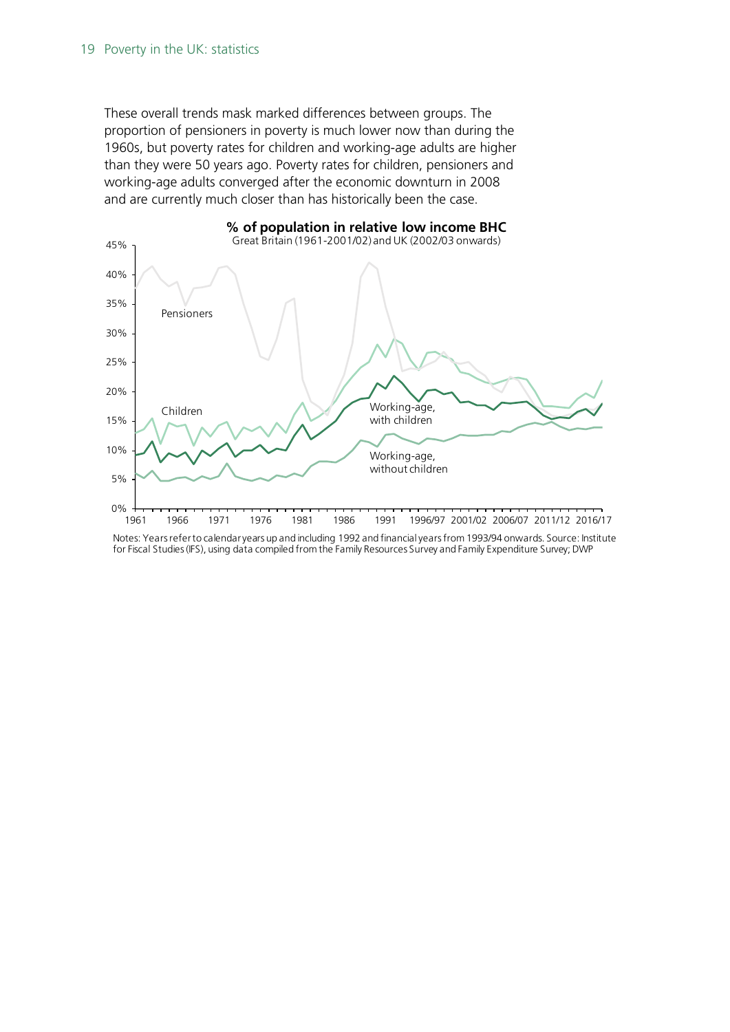These overall trends mask marked differences between groups. The proportion of pensioners in poverty is much lower now than during the 1960s, but poverty rates for children and working-age adults are higher than they were 50 years ago. Poverty rates for children, pensioners and working-age adults converged after the economic downturn in 2008 and are currently much closer than has historically been the case.



Notes: Years refer to calendar years up and including 1992 and financial years from 1993/94 onwards. Source: Institute for Fiscal Studies (IFS), using data compiled from the Family Resources Survey and Family Expenditure Survey; DWP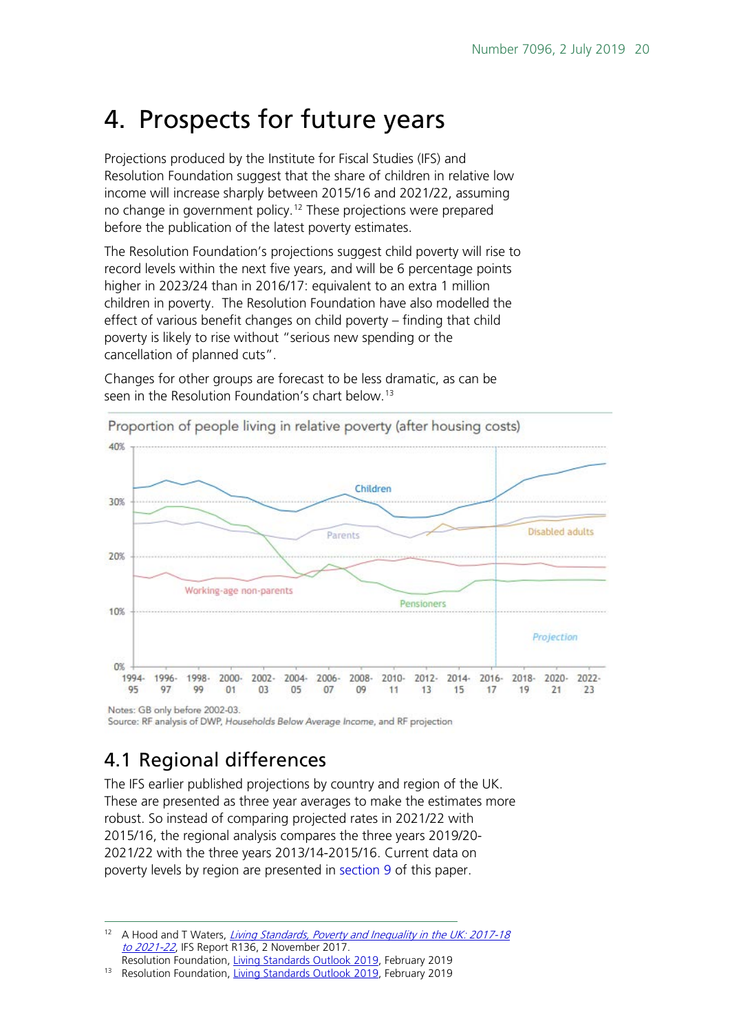# <span id="page-19-0"></span>4. Prospects for future years

Projections produced by the Institute for Fiscal Studies (IFS) and Resolution Foundation suggest that the share of children in relative low income will increase sharply between 2015/16 and 2021/22, assuming no change in government policy.<sup>[12](#page-19-2)</sup> These projections were prepared before the publication of the latest poverty estimates.

The Resolution Foundation's projections suggest child poverty will rise to record levels within the next five years, and will be 6 percentage points higher in 2023/24 than in 2016/17: equivalent to an extra 1 million children in poverty. The Resolution Foundation have also modelled the effect of various benefit changes on child poverty – finding that child poverty is likely to rise without "serious new spending or the cancellation of planned cuts".

Changes for other groups are forecast to be less dramatic, as can be seen in the Resolution Foundation's chart below.<sup>[13](#page-19-3)</sup>



Proportion of people living in relative poverty (after housing costs)

Notes: GB only before 2002-03. Source: RF analysis of DWP, Households Below Average Income, and RF projection

## <span id="page-19-1"></span>4.1 Regional differences

The IFS earlier published projections by country and region of the UK. These are presented as three year averages to make the estimates more robust. So instead of comparing projected rates in 2021/22 with 2015/16, the regional analysis compares the three years 2019/20- 2021/22 with the three years 2013/14-2015/16. Current data on poverty levels by region are presented in [section 9](#page-33-0) of this paper.

<span id="page-19-2"></span>A Hood and T Waters, Living Standards, Poverty and Inequality in the UK: 2017-18 [to 2021-22](https://www.ifs.org.uk/publications/10028), IFS Report R136, 2 November 2017. Resolution Foundation, [Living Standards Outlook 2019,](https://www.resolutionfoundation.org/publications/the-living-standards-outlook-2019/) February 2019

<span id="page-19-3"></span><sup>13</sup> Resolution Foundation, [Living Standards Outlook 2019,](https://www.resolutionfoundation.org/publications/the-living-standards-outlook-2019/) February 2019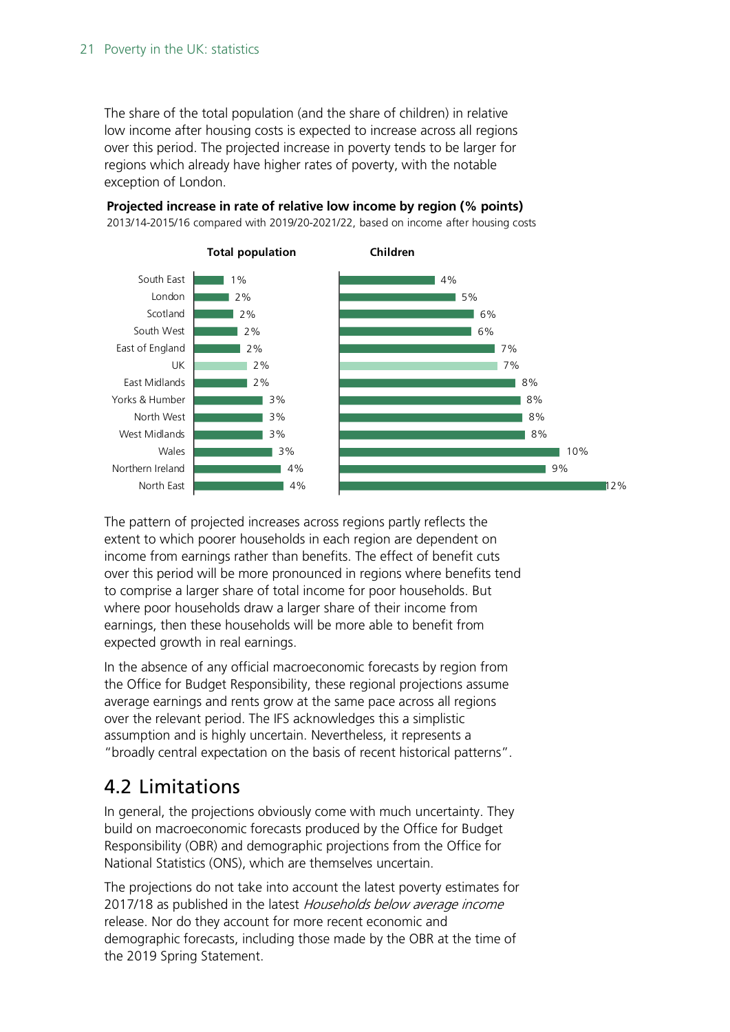The share of the total population (and the share of children) in relative low income after housing costs is expected to increase across all regions over this period. The projected increase in poverty tends to be larger for regions which already have higher rates of poverty, with the notable exception of London.

### **Projected increase in rate of relative low income by region (% points)**



2013/14-2015/16 compared with 2019/20-2021/22, based on income after housing costs

The pattern of projected increases across regions partly reflects the extent to which poorer households in each region are dependent on income from earnings rather than benefits. The effect of benefit cuts over this period will be more pronounced in regions where benefits tend to comprise a larger share of total income for poor households. But where poor households draw a larger share of their income from earnings, then these households will be more able to benefit from expected growth in real earnings.

In the absence of any official macroeconomic forecasts by region from the Office for Budget Responsibility, these regional projections assume average earnings and rents grow at the same pace across all regions over the relevant period. The IFS acknowledges this a simplistic assumption and is highly uncertain. Nevertheless, it represents a "broadly central expectation on the basis of recent historical patterns".

## <span id="page-20-0"></span>4.2 Limitations

In general, the projections obviously come with much uncertainty. They build on macroeconomic forecasts produced by the Office for Budget Responsibility (OBR) and demographic projections from the Office for National Statistics (ONS), which are themselves uncertain.

The projections do not take into account the latest poverty estimates for 2017/18 as published in the latest Households below average income release. Nor do they account for more recent economic and demographic forecasts, including those made by the OBR at the time of the 2019 Spring Statement.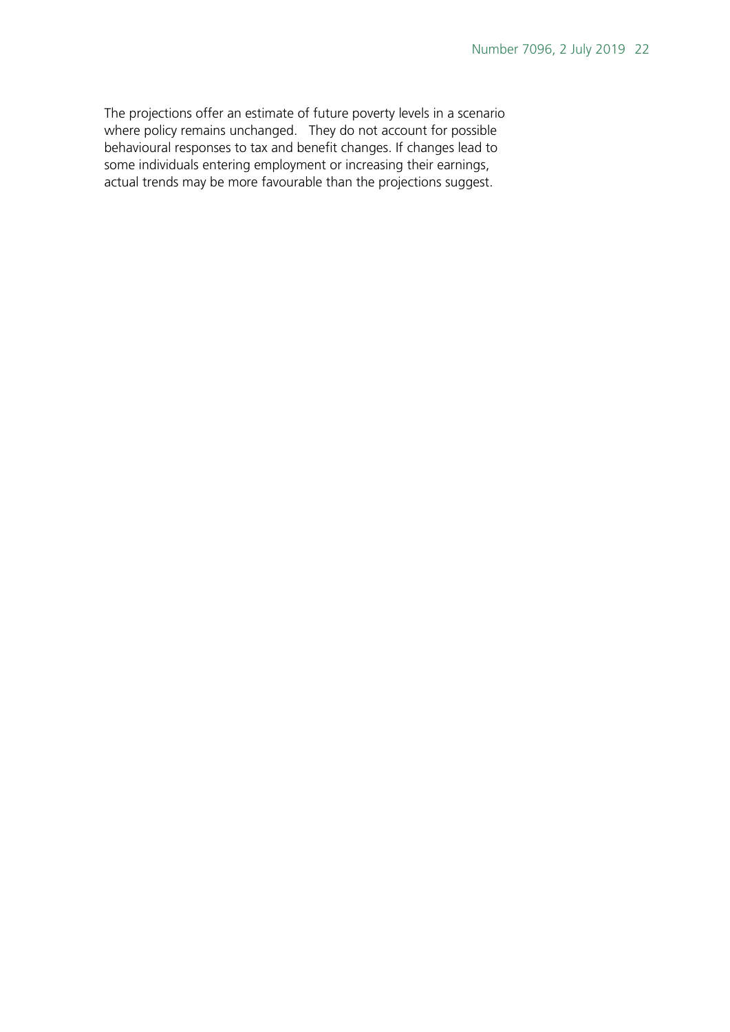The projections offer an estimate of future poverty levels in a scenario where policy remains unchanged. They do not account for possible behavioural responses to tax and benefit changes. If changes lead to some individuals entering employment or increasing their earnings, actual trends may be more favourable than the projections suggest.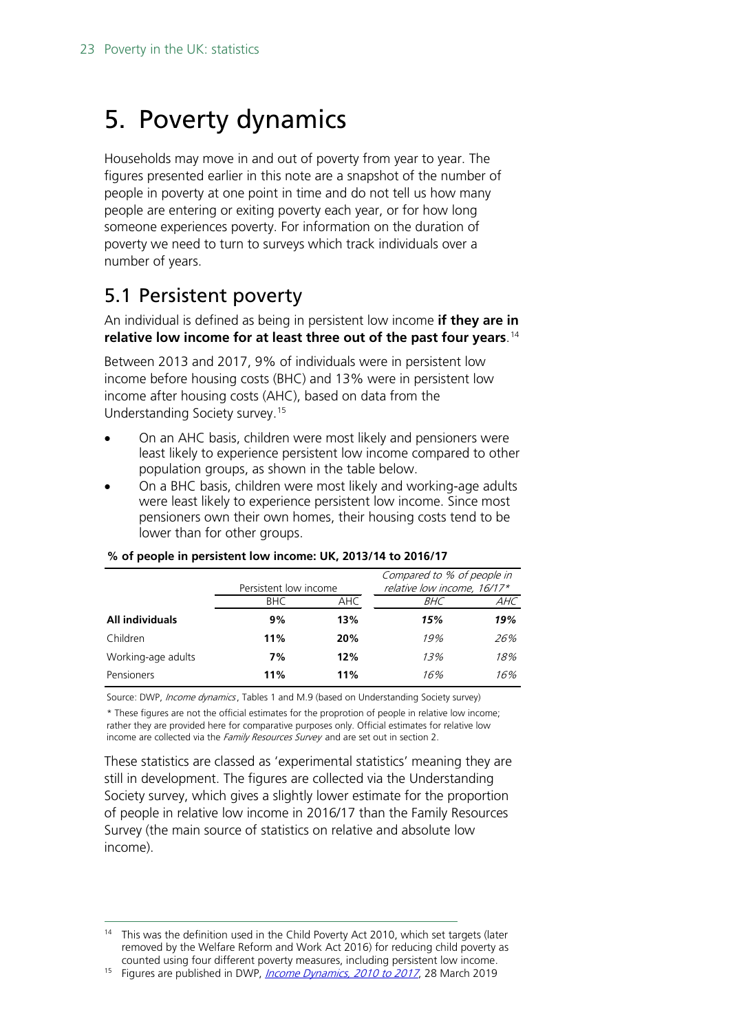# <span id="page-22-0"></span>5. Poverty dynamics

Households may move in and out of poverty from year to year. The figures presented earlier in this note are a snapshot of the number of people in poverty at one point in time and do not tell us how many people are entering or exiting poverty each year, or for how long someone experiences poverty. For information on the duration of poverty we need to turn to surveys which track individuals over a number of years.

## <span id="page-22-1"></span>5.1 Persistent poverty

An individual is defined as being in persistent low income **if they are in relative low income for at least three out of the past four years**. [14](#page-22-2)

Between 2013 and 2017, 9% of individuals were in persistent low income before housing costs (BHC) and 13% were in persistent low income after housing costs (AHC), based on data from the Understanding Society survey. [15](#page-22-3)

- On an AHC basis, children were most likely and pensioners were least likely to experience persistent low income compared to other population groups, as shown in the table below.
- On a BHC basis, children were most likely and working-age adults were least likely to experience persistent low income. Since most pensioners own their own homes, their housing costs tend to be lower than for other groups.

|                    |                       |     | Compared to % of people in  |     |  |
|--------------------|-----------------------|-----|-----------------------------|-----|--|
|                    | Persistent low income |     | relative low income, 16/17* |     |  |
|                    | BHC.<br>AHC           |     | BHC                         | AHC |  |
| All individuals    | 9%                    | 13% | 15%                         | 19% |  |
| Children           | 11%                   | 20% | 19%                         | 26% |  |
| Working-age adults | 7%                    | 12% | 13%                         | 18% |  |
| Pensioners         | 11%                   | 11% | 16%                         | 16% |  |

#### **% of people in persistent low income: UK, 2013/14 to 2016/17**

Source: DWP, Income dynamics, Tables 1 and M.9 (based on Understanding Society survey)

\* These figures are not the official estimates for the proprotion of people in relative low income; rather they are provided here for comparative purposes only. Official estimates for relative low income are collected via the Family Resources Survey and are set out in section 2.

These statistics are classed as 'experimental statistics' meaning they are still in development. The figures are collected via the Understanding Society survey, which gives a slightly lower estimate for the proportion of people in relative low income in 2016/17 than the Family Resources Survey (the main source of statistics on relative and absolute low income).

<span id="page-22-2"></span><sup>&</sup>lt;sup>14</sup> This was the definition used in the Child Poverty Act 2010, which set targets (later removed by the Welfare Reform and Work Act 2016) for reducing child poverty as counted using four different poverty measures, including persistent low income.<br><sup>15</sup> Figures are published in DWP, *[Income Dynamics, 2010 to 2017](https://www.gov.uk/government/statistics/income-dynamics-2016-to-2017)*, 28 March 2019

<span id="page-22-3"></span>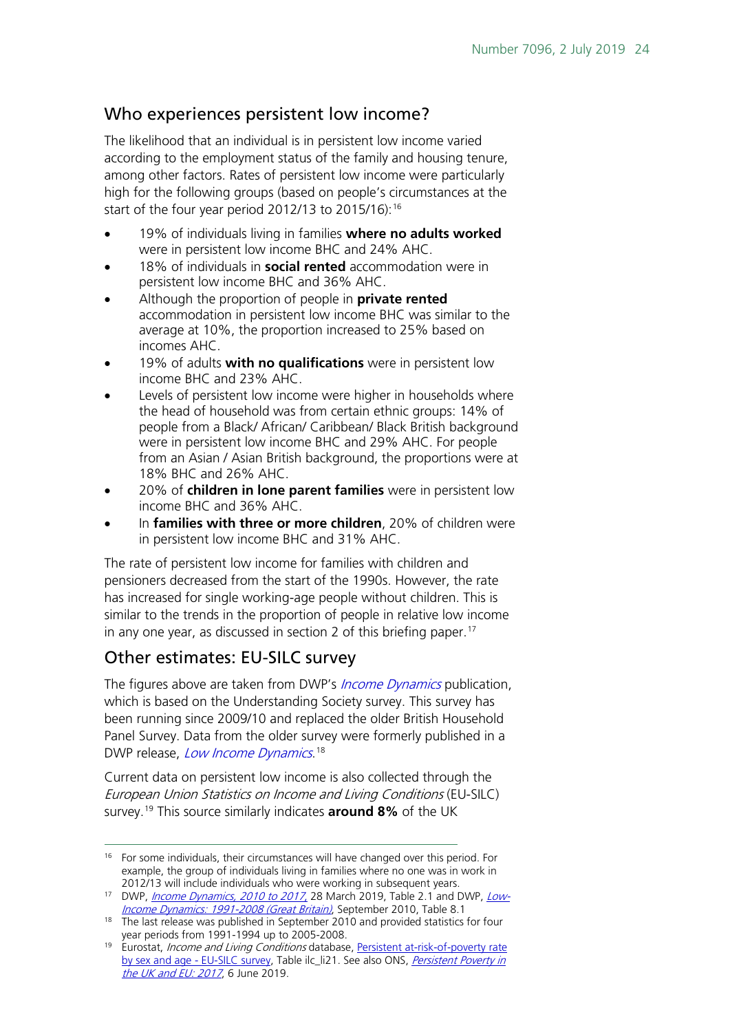### Who experiences persistent low income?

The likelihood that an individual is in persistent low income varied according to the employment status of the family and housing tenure, among other factors. Rates of persistent low income were particularly high for the following groups (based on people's circumstances at the start of the four year period 2012/13 to 2015/16): [16](#page-23-0)

- 19% of individuals living in families **where no adults worked** were in persistent low income BHC and 24% AHC.
- 18% of individuals in **social rented** accommodation were in persistent low income BHC and 36% AHC.
- Although the proportion of people in **private rented**  accommodation in persistent low income BHC was similar to the average at 10%, the proportion increased to 25% based on incomes AHC.
- 19% of adults **with no qualifications** were in persistent low income BHC and 23% AHC.
- Levels of persistent low income were higher in households where the head of household was from certain ethnic groups: 14% of people from a Black/ African/ Caribbean/ Black British background were in persistent low income BHC and 29% AHC. For people from an Asian / Asian British background, the proportions were at 18% BHC and 26% AHC.
- 20% of **children in lone parent families** were in persistent low income BHC and 36% AHC.
- In **families with three or more children**, 20% of children were in persistent low income BHC and 31% AHC.

The rate of persistent low income for families with children and pensioners decreased from the start of the 1990s. However, the rate has increased for single working-age people without children. This is similar to the trends in the proportion of people in relative low income in any one year, as discussed in section 2 of this briefing paper.<sup>17</sup>

### Other estimates: EU-SILC survey

The figures above are taken from DWP's *[Income Dynamics](https://www.gov.uk/government/statistics/income-dynamics-experimental)* publication, which is based on the Understanding Society survey. This survey has been running since 2009/10 and replaced the older British Household Panel Survey. Data from the older survey were formerly published in a DWP release, *[Low Income Dynamics](https://www.gov.uk/government/statistics/low-income-dynamics-1991-to-1998)*.<sup>[18](#page-23-2)</sup>

Current data on persistent low income is also collected through the European Union Statistics on Income and Living Conditions (EU-SILC) survey.[19](#page-23-3) This source similarly indicates **around 8%** of the UK

<span id="page-23-0"></span><sup>&</sup>lt;sup>16</sup> For some individuals, their circumstances will have changed over this period. For example, the group of individuals living in families where no one was in work in

<span id="page-23-1"></span><sup>2012/13</sup> will include individuals who were working in subsequent years.<br><sup>17</sup> DWP, *<u>[Income Dynamics, 2010 to 2017](https://www.gov.uk/government/statistics/income-dynamics-2016-to-2017)*</u>, 28 March 2019, Table 2.1 and DWP, <u>Low-</u> [Income Dynamics: 1991-2008 \(Great Britain\)](https://www.gov.uk/government/uploads/system/uploads/attachment_data/file/200978/low_income_dynamics_1991-2008.pdf), September 2010, Table 8.1

<span id="page-23-2"></span><sup>&</sup>lt;sup>18</sup> The last release was published in September 2010 and provided statistics for four vear periods from 1991-1994 up to 2005-2008.

<span id="page-23-3"></span><sup>&</sup>lt;sup>19</sup> Eurostat, *Income and Living Conditions* database, Persistent at-risk-of-poverty rate [by sex and age -](http://appsso.eurostat.ec.europa.eu/nui/show.do?dataset=ilc_li21&lang=en) EU-SILC survey, Table ilc\_li21. See also ONS, *Persistent Poverty in* [the UK and EU: 2017](https://www.ons.gov.uk/peoplepopulationandcommunity/personalandhouseholdfinances/incomeandwealth/datasets/persistentpovertyintheukandeu), 6 June 2019.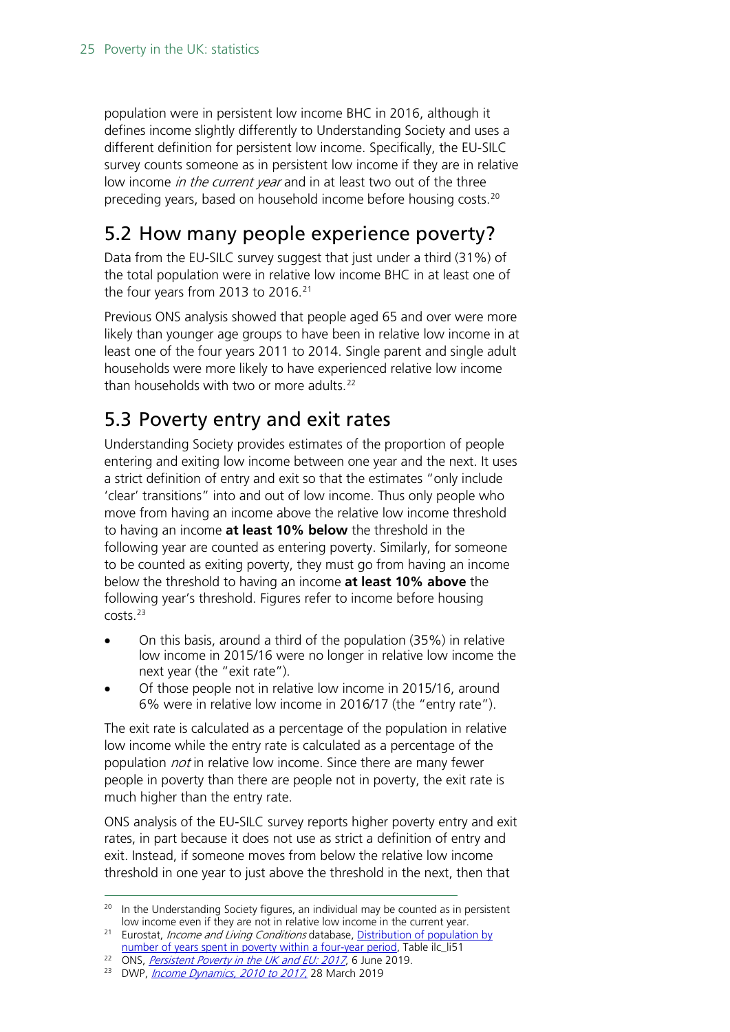population were in persistent low income BHC in 2016, although it defines income slightly differently to Understanding Society and uses a different definition for persistent low income. Specifically, the EU-SILC survey counts someone as in persistent low income if they are in relative low income *in the current year* and in at least two out of the three preceding years, based on household income before housing costs. [20](#page-24-2)

## <span id="page-24-0"></span>5.2 How many people experience poverty?

Data from the EU-SILC survey suggest that just under a third (31%) of the total population were in relative low income BHC in at least one of the four years from 2013 to 2016. [21](#page-24-3)

Previous ONS analysis showed that people aged 65 and over were more likely than younger age groups to have been in relative low income in at least one of the four years 2011 to 2014. Single parent and single adult households were more likely to have experienced relative low income than households with two or more adults.[22](#page-24-4)

## <span id="page-24-1"></span>5.3 Poverty entry and exit rates

Understanding Society provides estimates of the proportion of people entering and exiting low income between one year and the next. It uses a strict definition of entry and exit so that the estimates "only include 'clear' transitions" into and out of low income. Thus only people who move from having an income above the relative low income threshold to having an income **at least 10% below** the threshold in the following year are counted as entering poverty. Similarly, for someone to be counted as exiting poverty, they must go from having an income below the threshold to having an income **at least 10% above** the following year's threshold. Figures refer to income before housing costs.[23](#page-24-5)

- On this basis, around a third of the population (35%) in relative low income in 2015/16 were no longer in relative low income the next year (the "exit rate").
- Of those people not in relative low income in 2015/16, around 6% were in relative low income in 2016/17 (the "entry rate").

The exit rate is calculated as a percentage of the population in relative low income while the entry rate is calculated as a percentage of the population *not* in relative low income. Since there are many fewer people in poverty than there are people not in poverty, the exit rate is much higher than the entry rate.

ONS analysis of the EU-SILC survey reports higher poverty entry and exit rates, in part because it does not use as strict a definition of entry and exit. Instead, if someone moves from below the relative low income threshold in one year to just above the threshold in the next, then that

<span id="page-24-2"></span><sup>&</sup>lt;sup>20</sup> In the Understanding Society figures, an individual may be counted as in persistent low income even if they are not in relative low income in the current year.

<span id="page-24-3"></span><sup>&</sup>lt;sup>21</sup> Eurostat, *Income and Living Conditions* database, Distribution of population by

[number of years spent in poverty within a four-year period,](http://appsso.eurostat.ec.europa.eu/nui/show.do?dataset=ilc_li51&lang=en) Table ilc\_li51

<span id="page-24-4"></span><sup>&</sup>lt;sup>22</sup> ONS, *[Persistent Poverty in the UK and EU: 2017](https://www.ons.gov.uk/peoplepopulationandcommunity/personalandhouseholdfinances/incomeandwealth/datasets/persistentpovertyintheukandeu)*, 6 June 2019.

<span id="page-24-5"></span><sup>&</sup>lt;sup>23</sup> DWP, *[Income Dynamics, 2010 to 2017](https://www.gov.uk/government/statistics/income-dynamics-2016-to-2017)*, 28 March 2019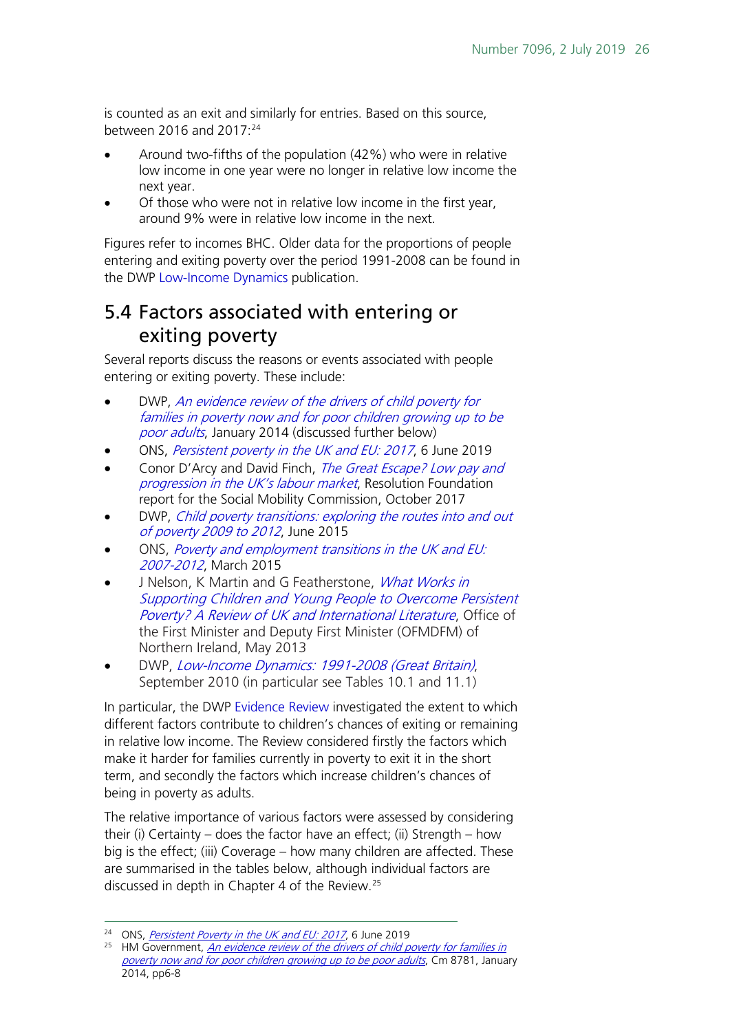is counted as an exit and similarly for entries. Based on this source, between 2016 and 2017: [24](#page-25-1)

- Around two-fifths of the population (42%) who were in relative low income in one year were no longer in relative low income the next year.
- Of those who were not in relative low income in the first year, around 9% were in relative low income in the next.

Figures refer to incomes BHC. Older data for the proportions of people entering and exiting poverty over the period 1991-2008 can be found in the DWP [Low-Income Dynamics](https://www.gov.uk/government/uploads/system/uploads/attachment_data/file/200978/low_income_dynamics_1991-2008.pdf) publication.

## <span id="page-25-0"></span>5.4 Factors associated with entering or exiting poverty

Several reports discuss the reasons or events associated with people entering or exiting poverty. These include:

- DWP, [An evidence review of the drivers of child poverty for](https://www.gov.uk/government/uploads/system/uploads/attachment_data/file/285389/Cm_8781_Child_Poverty_Evidence_Review_Print.pdf)  [families in poverty now and for poor children growing up to be](https://www.gov.uk/government/uploads/system/uploads/attachment_data/file/285389/Cm_8781_Child_Poverty_Evidence_Review_Print.pdf)  [poor adults](https://www.gov.uk/government/uploads/system/uploads/attachment_data/file/285389/Cm_8781_Child_Poverty_Evidence_Review_Print.pdf), January 2014 (discussed further below)
- ONS, [Persistent poverty in the UK and EU: 2017](https://www.ons.gov.uk/peoplepopulationandcommunity/personalandhouseholdfinances/incomeandwealth/articles/persistentpovertyintheukandeu/2017), 6 June 2019
- Conor D'Arcy and David Finch, [The Great Escape? Low pay and](https://www.resolutionfoundation.org/app/uploads/2017/10/Great-Escape-final-report.pdf)  [progression in the UK's labour market](https://www.resolutionfoundation.org/app/uploads/2017/10/Great-Escape-final-report.pdf), Resolution Foundation report for the Social Mobility Commission, October 2017
- DWP, [Child poverty transitions: exploring the routes into and out](https://www.gov.uk/government/publications/child-poverty-transitions-exploring-the-routes-into-and-out-of-poverty)  [of poverty 2009 to 2012](https://www.gov.uk/government/publications/child-poverty-transitions-exploring-the-routes-into-and-out-of-poverty), June 2015
- ONS, [Poverty and employment transitions in the UK and EU:](https://www.ons.gov.uk/employmentandlabourmarket/peopleinwork/employmentandemployeetypes/articles/povertyandemploymenttransitionsintheukandeu/2015-03-10)  [2007-2012](https://www.ons.gov.uk/employmentandlabourmarket/peopleinwork/employmentandemployeetypes/articles/povertyandemploymenttransitionsintheukandeu/2015-03-10), March 2015
- J Nelson, K Martin and G Featherstone, *What Works in* [Supporting Children and Young People to Overcome Persistent](http://www.nfer.ac.uk/publications/NIEQ01/NIEQ01_home.cfm)  [Poverty? A Review of UK and International Literature](http://www.nfer.ac.uk/publications/NIEQ01/NIEQ01_home.cfm), Office of the First Minister and Deputy First Minister (OFMDFM) of Northern Ireland, May 2013
- DWP, [Low-Income Dynamics: 1991-2008 \(Great Britain\)](https://www.gov.uk/government/uploads/system/uploads/attachment_data/file/200978/low_income_dynamics_1991-2008.pdf), September 2010 (in particular see Tables 10.1 and 11.1)

In particular, the DWP [Evidence Review](https://www.gov.uk/government/uploads/system/uploads/attachment_data/file/285389/Cm_8781_Child_Poverty_Evidence_Review_Print.pdf) investigated the extent to which different factors contribute to children's chances of exiting or remaining in relative low income. The Review considered firstly the factors which make it harder for families currently in poverty to exit it in the short term, and secondly the factors which increase children's chances of being in poverty as adults.

The relative importance of various factors were assessed by considering their (i) Certainty – does the factor have an effect; (ii) Strength – how big is the effect; (iii) Coverage – how many children are affected. These are summarised in the tables below, although individual factors are discussed in depth in Chapter 4 of the Review.[25](#page-25-2)

<sup>&</sup>lt;sup>24</sup> ONS, *[Persistent Poverty in the UK and EU: 2017](https://www.ons.gov.uk/peoplepopulationandcommunity/personalandhouseholdfinances/incomeandwealth/datasets/persistentpovertyintheukandeu)*, 6 June 2019

<span id="page-25-2"></span><span id="page-25-1"></span><sup>&</sup>lt;sup>25</sup> HM Government, *An evidence review of the drivers of child poverty for families in* [poverty now and for poor children growing up to be poor adults](https://www.gov.uk/government/uploads/system/uploads/attachment_data/file/285389/Cm_8781_Child_Poverty_Evidence_Review_Print.pdf), Cm 8781, January 2014, pp6-8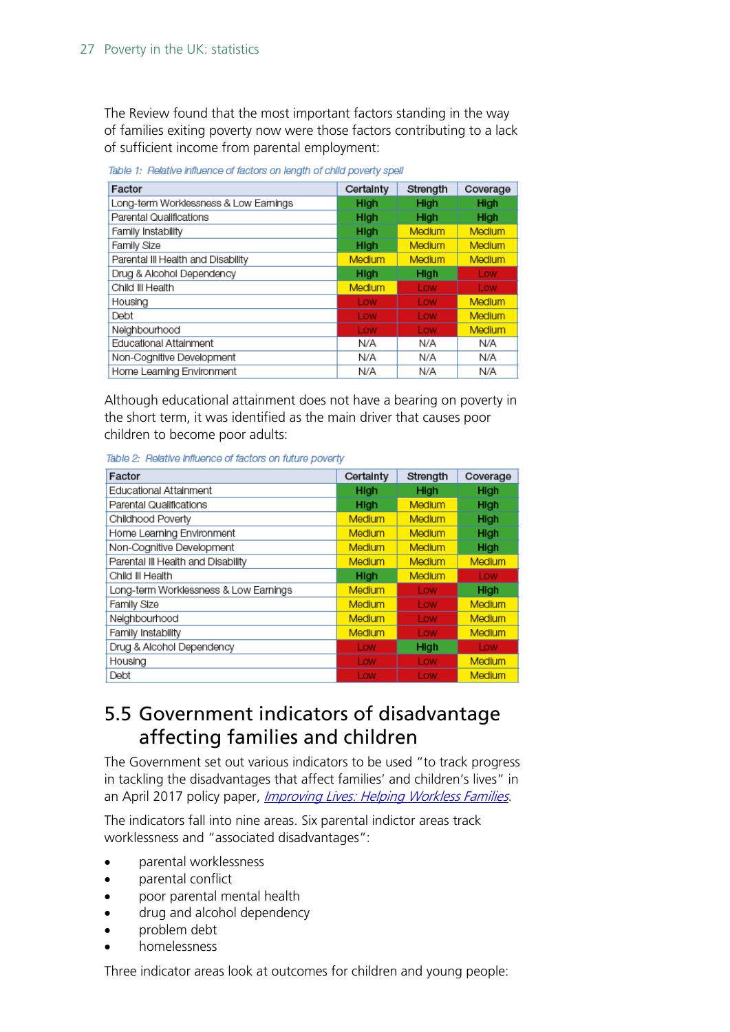The Review found that the most important factors standing in the way of families exiting poverty now were those factors contributing to a lack of sufficient income from parental employment:

| Factor                                | Certainty     | Strength      | Coverage      |
|---------------------------------------|---------------|---------------|---------------|
| Long-term Worklessness & Low Earnings | <b>High</b>   | High          | High          |
| Parental Qualifications               | High          | High          | High          |
| Family Instability                    | High          | Medium        | <b>Medium</b> |
| Family Size                           | High          | <b>Medium</b> | <b>Medium</b> |
| Parental III Health and Disability    | Medium        | Medium        | <b>Medium</b> |
| Drug & Alcohol Dependency             | High          | High          | Low           |
| Child III Health                      | <b>Medium</b> | Low           | Low           |
| Housing                               | Low           | Low           | <b>Medium</b> |
| Debt                                  | Low           | Low           | <b>Medium</b> |
| Neighbourhood                         | Low           | Low           | <b>Medium</b> |
| Educational Attainment                | N/A           | N/A           | N/A           |
| Non-Cognitive Development             | N/A           | N/A           | N/A           |
| Home Learning Environment             | N/A           | N/A           | N/A           |

Table 1: Relative influence of factors on length of child poverty spell

Although educational attainment does not have a bearing on poverty in the short term, it was identified as the main driver that causes poor children to become poor adults:

Table 2: Relative influence of factors on future poverty

| Factor                                | Certainty     | Strength      | Coverage      |
|---------------------------------------|---------------|---------------|---------------|
| Educational Attainment                | High          | High          | High          |
| Parental Qualifications               | High          | <b>Medium</b> | High          |
| Childhood Poverty                     | <b>Medium</b> | <b>Medium</b> | <b>High</b>   |
| Home Learning Environment             | Medium        | <b>Medium</b> | <b>High</b>   |
| Non-Cognitive Development             | Medium        | <b>Medium</b> | High          |
| Parental III Health and Disability    | Medium        | Medium        | Medium        |
| Child III Health                      | High          | <b>Medium</b> | Low           |
| Long-term Worklessness & Low Earnings | Medium        | Low           | High          |
| Family Size                           | Medium        | Low           | Medium        |
| Neighbourhood                         | Medium        | Low           | Medium        |
| Family Instability                    | Medium        | Low           | <b>Medium</b> |
| Drug & Alcohol Dependency             | Low           | High          | Low           |
| Housing                               | Low           | Low           | <b>Medium</b> |
| Debt                                  | Low           | Low           | Medium        |

### <span id="page-26-0"></span>5.5 Government indicators of disadvantage affecting families and children

The Government set out various indicators to be used "to track progress in tackling the disadvantages that affect families' and children's lives" in an April 2017 policy paper, *[Improving Lives: Helping Workless Families](https://www.gov.uk/government/publications/improving-lives-helping-workless-families)*.

The indicators fall into nine areas. Six parental indictor areas track worklessness and "associated disadvantages":

- parental worklessness
- parental conflict
- poor parental mental health
- drug and alcohol dependency
- problem debt
- homelessness

Three indicator areas look at outcomes for children and young people: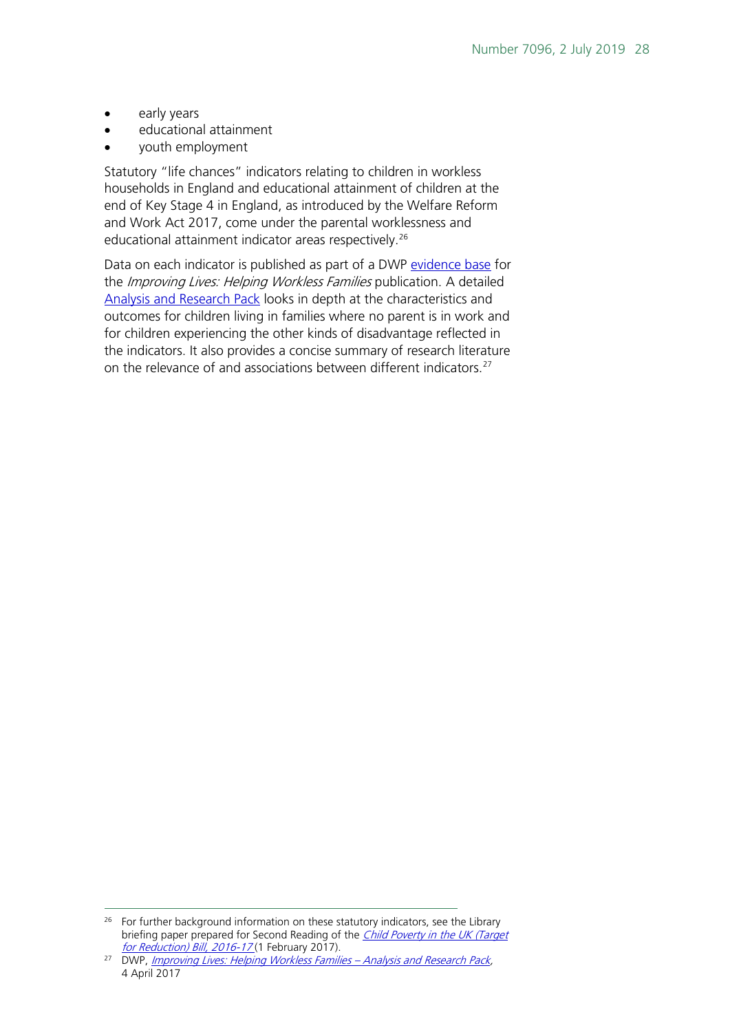- early years
- educational attainment
- youth employment

Statutory "life chances" indicators relating to children in workless households in England and educational attainment of children at the end of Key Stage 4 in England, as introduced by the Welfare Reform and Work Act 2017, come under the parental worklessness and educational attainment indicator areas respectively.<sup>[26](#page-27-0)</sup>

Data on each indicator is published as part of a DWP [evidence base](https://www.gov.uk/government/publications/improving-lives-helping-workless-families-evidence-base) for the *Improving Lives: Helping Workless Families* publication. A detailed [Analysis and Research Pack](https://assets.publishing.service.gov.uk/government/uploads/system/uploads/attachment_data/file/696368/improving-lives-helping-workless-families-web-version.pdf) looks in depth at the characteristics and outcomes for children living in families where no parent is in work and for children experiencing the other kinds of disadvantage reflected in the indicators. It also provides a concise summary of research literature on the relevance of and associations between different indicators.<sup>[27](#page-27-1)</sup>

<span id="page-27-0"></span><sup>&</sup>lt;sup>26</sup> For further background information on these statutory indicators, see the Library briefing paper prepared for Second Reading of the *[Child Poverty in](http://researchbriefings.parliament.uk/ResearchBriefing/Summary/CBP-7891) the UK (Target for Reduction) Bill, 2016-17* (1 February 2017).

<span id="page-27-1"></span><sup>&</sup>lt;sup>27</sup> DWP, [Improving Lives: Helping Workless Families –](https://www.gov.uk/government/publications/improving-lives-helping-workless-families-evidence-base) Analysis and Research Pack, 4 April 2017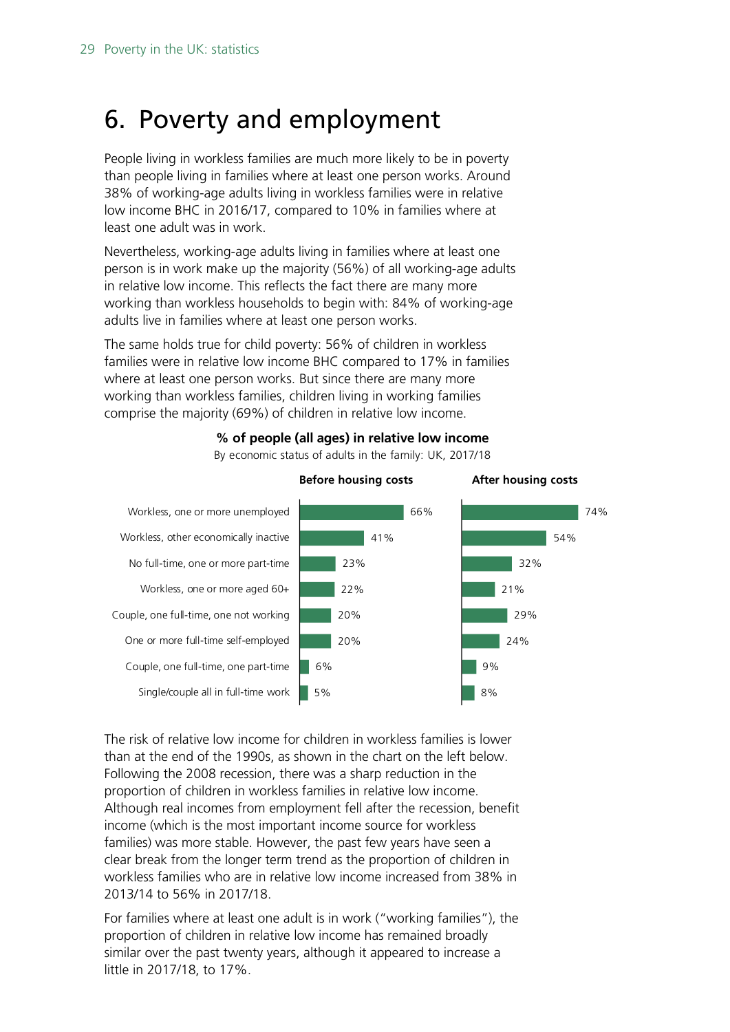# <span id="page-28-0"></span>6. Poverty and employment

People living in workless families are much more likely to be in poverty than people living in families where at least one person works. Around 38% of working-age adults living in workless families were in relative low income BHC in 2016/17, compared to 10% in families where at least one adult was in work.

Nevertheless, working-age adults living in families where at least one person is in work make up the majority (56%) of all working-age adults in relative low income. This reflects the fact there are many more working than workless households to begin with: 84% of working-age adults live in families where at least one person works.

The same holds true for child poverty: 56% of children in workless families were in relative low income BHC compared to 17% in families where at least one person works. But since there are many more working than workless families, children living in working families comprise the majority (69%) of children in relative low income.



**% of people (all ages) in relative low income**

By economic status of adults in the family: UK, 2017/18

The risk of relative low income for children in workless families is lower than at the end of the 1990s, as shown in the chart on the left below. Following the 2008 recession, there was a sharp reduction in the proportion of children in workless families in relative low income. Although real incomes from employment fell after the recession, benefit income (which is the most important income source for workless families) was more stable. However, the past few years have seen a clear break from the longer term trend as the proportion of children in workless families who are in relative low income increased from 38% in 2013/14 to 56% in 2017/18.

For families where at least one adult is in work ("working families"), the proportion of children in relative low income has remained broadly similar over the past twenty years, although it appeared to increase a little in 2017/18, to 17%.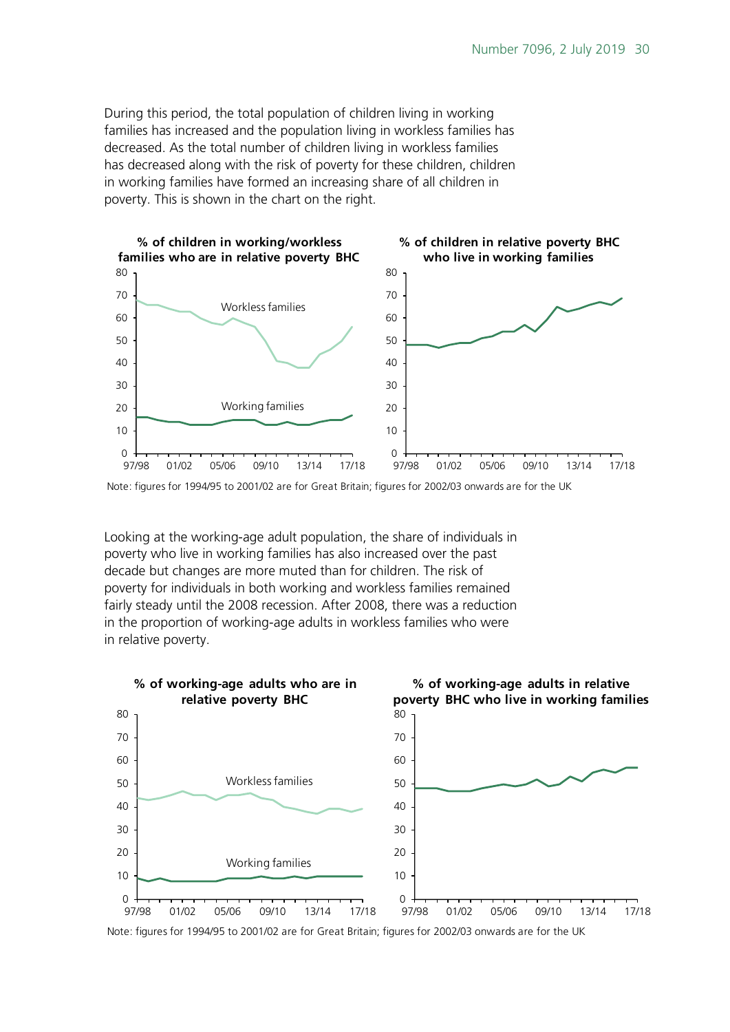During this period, the total population of children living in working families has increased and the population living in workless families has decreased. As the total number of children living in workless families has decreased along with the risk of poverty for these children, children in working families have formed an increasing share of all children in poverty. This is shown in the chart on the right.



Note: figures for 1994/95 to 2001/02 are for Great Britain; figures for 2002/03 onwards are for the UK

Looking at the working-age adult population, the share of individuals in poverty who live in working families has also increased over the past decade but changes are more muted than for children. The risk of poverty for individuals in both working and workless families remained fairly steady until the 2008 recession. After 2008, there was a reduction in the proportion of working-age adults in workless families who were in relative poverty.



Note: figures for 1994/95 to 2001/02 are for Great Britain; figures for 2002/03 onwards are for the UK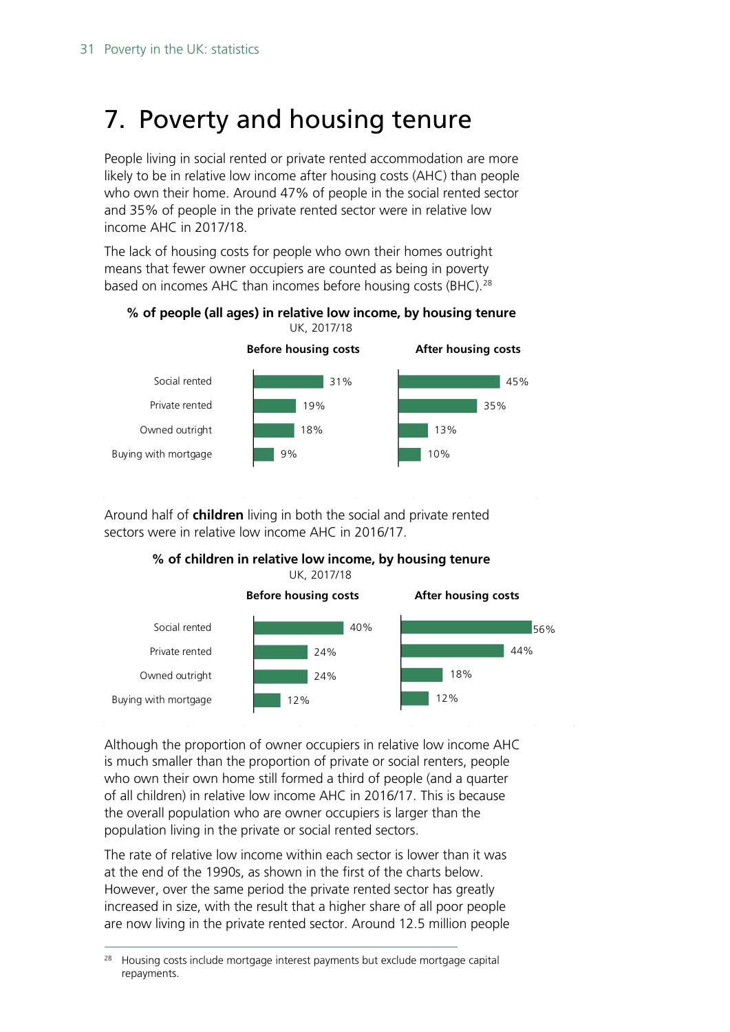# <span id="page-30-0"></span>7. Poverty and housing tenure

People living in social rented or private rented accommodation are more likely to be in relative low income after housing costs (AHC) than people who own their home. Around 47% of people in the social rented sector and 35% of people in the private rented sector were in relative low income AHC in 2017/18.

The lack of housing costs for people who own their homes outright means that fewer owner occupiers are counted as being in poverty based on incomes AHC than incomes before housing costs (BHC).<sup>[28](#page-30-1)</sup>





Around half of **children** living in both the social and private rented sectors were in relative low income AHC in 2016/17.

**% of children in relative low income, by housing tenure** UK, 2017/18



Although the proportion of owner occupiers in relative low income AHC is much smaller than the proportion of private or social renters, people who own their own home still formed a third of people (and a quarter of all children) in relative low income AHC in 2016/17. This is because the overall population who are owner occupiers is larger than the population living in the private or social rented sectors.

The rate of relative low income within each sector is lower than it was at the end of the 1990s, as shown in the first of the charts below. However, over the same period the private rented sector has greatly increased in size, with the result that a higher share of all poor people are now living in the private rented sector. Around 12.5 million people

<span id="page-30-1"></span> <sup>28</sup> Housing costs include mortgage interest payments but exclude mortgage capital repayments.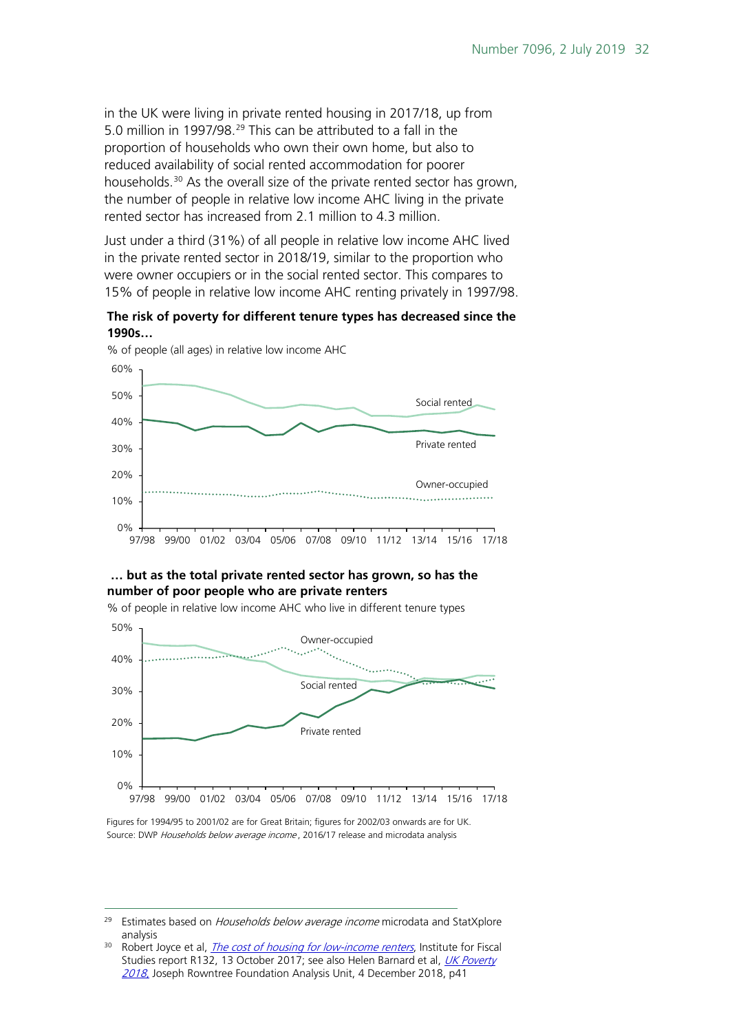in the UK were living in private rented housing in 2017/18, up from 5.0 million in 1997/98.[29](#page-31-0) This can be attributed to a fall in the proportion of households who own their own home, but also to reduced availability of social rented accommodation for poorer households.[30](#page-31-1) As the overall size of the private rented sector has grown, the number of people in relative low income AHC living in the private rented sector has increased from 2.1 million to 4.3 million.

Just under a third (31%) of all people in relative low income AHC lived in the private rented sector in 2018/19, similar to the proportion who were owner occupiers or in the social rented sector. This compares to 15% of people in relative low income AHC renting privately in 1997/98.





% of people (all ages) in relative low income AHC

#### **… but as the total private rented sector has grown, so has the number of poor people who are private renters**

% of people in relative low income AHC who live in different tenure types



Source: DWP Households below average income, 2016/17 release and microdata analysis Figures for 1994/95 to 2001/02 are for Great Britain; figures for 2002/03 onwards are for UK.

<span id="page-31-0"></span><sup>&</sup>lt;sup>29</sup> Estimates based on *Households below average income* microdata and StatXplore analysis<br><sup>30</sup> Robert Joyce et al, *[The cost of housing for low-income renters](https://www.ifs.org.uk/publications/9986)*, Institute for Fiscal

<span id="page-31-1"></span>Studies report R132, 13 October 2017; see also Helen Barnard et al, UK Poverty [2018](https://www.jrf.org.uk/report/uk-poverty-2018), Joseph Rowntree Foundation Analysis Unit, 4 December 2018, p41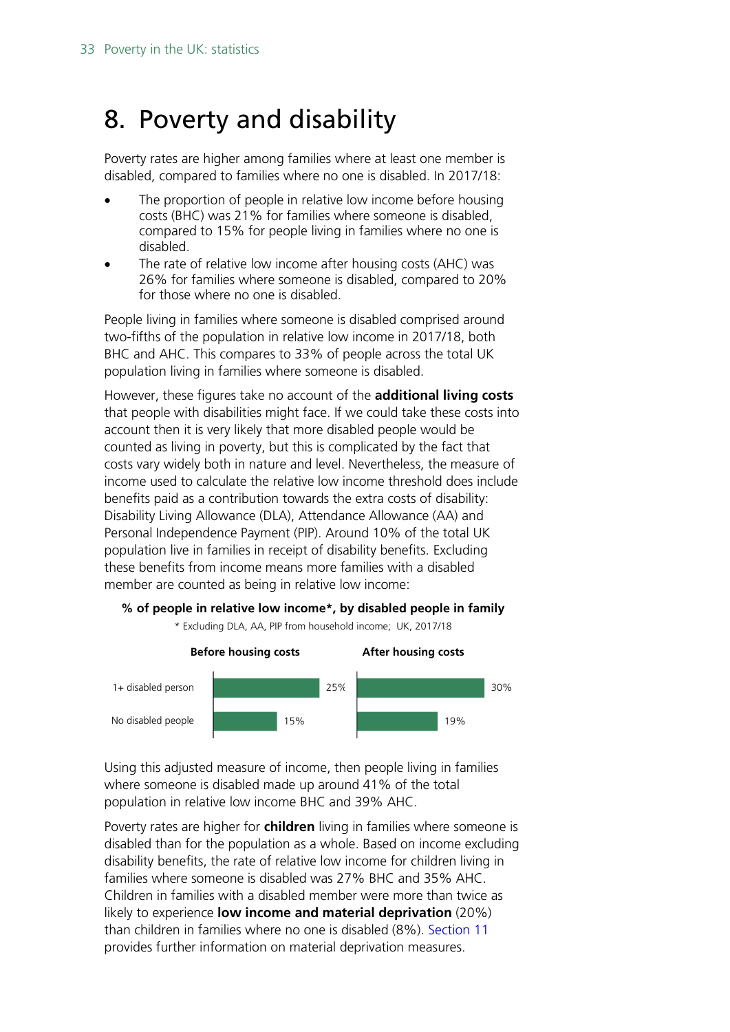# <span id="page-32-0"></span>8. Poverty and disability

Poverty rates are higher among families where at least one member is disabled, compared to families where no one is disabled. In 2017/18:

- The proportion of people in relative low income before housing costs (BHC) was 21% for families where someone is disabled, compared to 15% for people living in families where no one is disabled.
- The rate of relative low income after housing costs (AHC) was 26% for families where someone is disabled, compared to 20% for those where no one is disabled.

People living in families where someone is disabled comprised around two-fifths of the population in relative low income in 2017/18, both BHC and AHC. This compares to 33% of people across the total UK population living in families where someone is disabled.

However, these figures take no account of the **additional living costs**  that people with disabilities might face. If we could take these costs into account then it is very likely that more disabled people would be counted as living in poverty, but this is complicated by the fact that costs vary widely both in nature and level. Nevertheless, the measure of income used to calculate the relative low income threshold does include benefits paid as a contribution towards the extra costs of disability: Disability Living Allowance (DLA), Attendance Allowance (AA) and Personal Independence Payment (PIP). Around 10% of the total UK population live in families in receipt of disability benefits. Excluding these benefits from income means more families with a disabled member are counted as being in relative low income:

#### **% of people in relative low income\*, by disabled people in family**

\* Excluding DLA, AA, PIP from household income; UK, 2017/18



Using this adjusted measure of income, then people living in families where someone is disabled made up around 41% of the total population in relative low income BHC and 39% AHC.

Poverty rates are higher for **children** living in families where someone is disabled than for the population as a whole. Based on income excluding disability benefits, the rate of relative low income for children living in families where someone is disabled was 27% BHC and 35% AHC. Children in families with a disabled member were more than twice as likely to experience **low income and material deprivation** (20%) than children in families where no one is disabled (8%). [Section 11](#page-37-0) provides further information on material deprivation measures.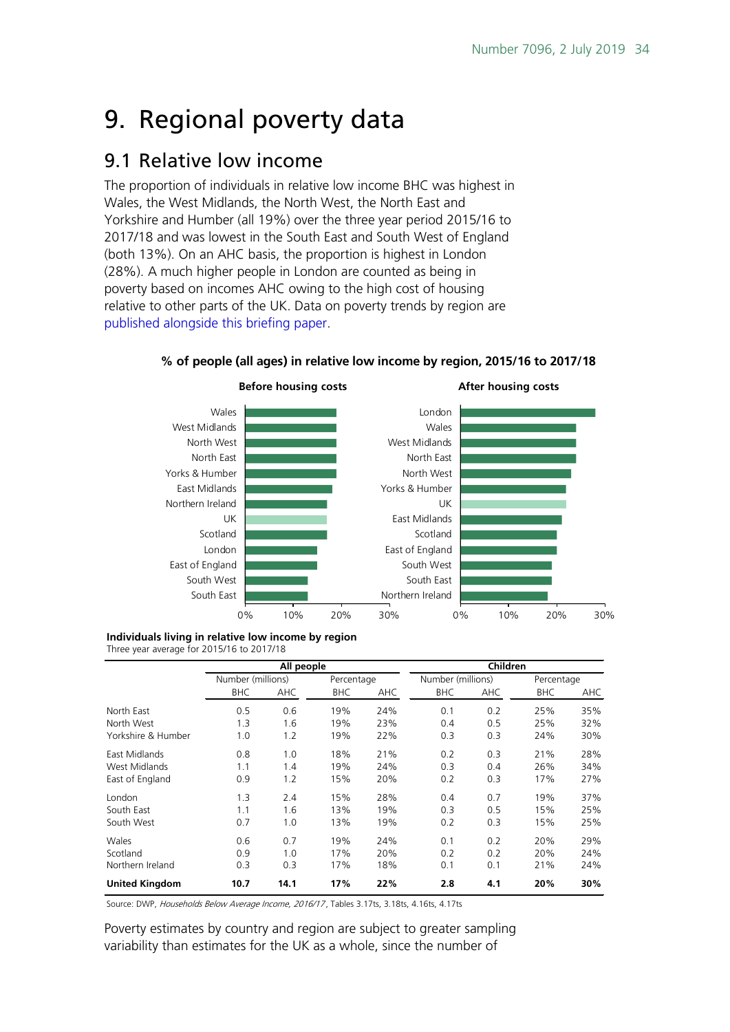# <span id="page-33-0"></span>9. Regional poverty data

### <span id="page-33-1"></span>9.1 Relative low income

The proportion of individuals in relative low income BHC was highest in Wales, the West Midlands, the North West, the North East and Yorkshire and Humber (all 19%) over the three year period 2015/16 to 2017/18 and was lowest in the South East and South West of England (both 13%). On an AHC basis, the proportion is highest in London (28%). A much higher people in London are counted as being in poverty based on incomes AHC owing to the high cost of housing relative to other parts of the UK. Data on poverty trends by region are [published alongside this briefing paper.](http://researchbriefings.files.parliament.uk/documents/SN07096/CBP7096-trends-by-country-and-region.xlsx)



#### **% of people (all ages) in relative low income by region, 2015/16 to 2017/18**

**Individuals living in relative low income by region**

Three year average for 2015/16 to 2017/18

|                       | All people        |      |            |            | Children          |     |            |     |
|-----------------------|-------------------|------|------------|------------|-------------------|-----|------------|-----|
|                       | Number (millions) |      | Percentage |            | Number (millions) |     | Percentage |     |
|                       | <b>BHC</b>        | AHC  | <b>BHC</b> | <b>AHC</b> | <b>BHC</b>        | AHC | <b>BHC</b> | AHC |
| North East            | 0.5               | 0.6  | 19%        | 24%        | 0.1               | 0.2 | 25%        | 35% |
| North West            | 1.3               | 1.6  | 19%        | 23%        | 0.4               | 0.5 | 25%        | 32% |
| Yorkshire & Humber    | 1.0               | 1.2  | 19%        | 22%        | 0.3               | 0.3 | 24%        | 30% |
| East Midlands         | 0.8               | 1.0  | 18%        | 21%        | 0.2               | 0.3 | 21%        | 28% |
| West Midlands         | 1.1               | 1.4  | 19%        | 24%        | 0.3               | 0.4 | 26%        | 34% |
| East of England       | 0.9               | 1.2  | 15%        | 20%        | 0.2               | 0.3 | 17%        | 27% |
| London                | 1.3               | 2.4  | 15%        | 28%        | 0.4               | 0.7 | 19%        | 37% |
| South East            | 1.1               | 1.6  | 13%        | 19%        | 0.3               | 0.5 | 15%        | 25% |
| South West            | 0.7               | 1.0  | 13%        | 19%        | 0.2               | 0.3 | 15%        | 25% |
| Wales                 | 0.6               | 0.7  | 19%        | 24%        | 0.1               | 0.2 | 20%        | 29% |
| Scotland              | 0.9               | 1.0  | 17%        | 20%        | 0.2               | 0.2 | 20%        | 24% |
| Northern Ireland      | 0.3               | 0.3  | 17%        | 18%        | 0.1               | 0.1 | 21%        | 24% |
| <b>United Kingdom</b> | 10.7              | 14.1 | 17%        | 22%        | 2.8               | 4.1 | 20%        | 30% |

Source: DWP, Households Below Average Income, 2016/17, Tables 3.17ts, 3.18ts, 4.16ts, 4.17ts

Poverty estimates by country and region are subject to greater sampling variability than estimates for the UK as a whole, since the number of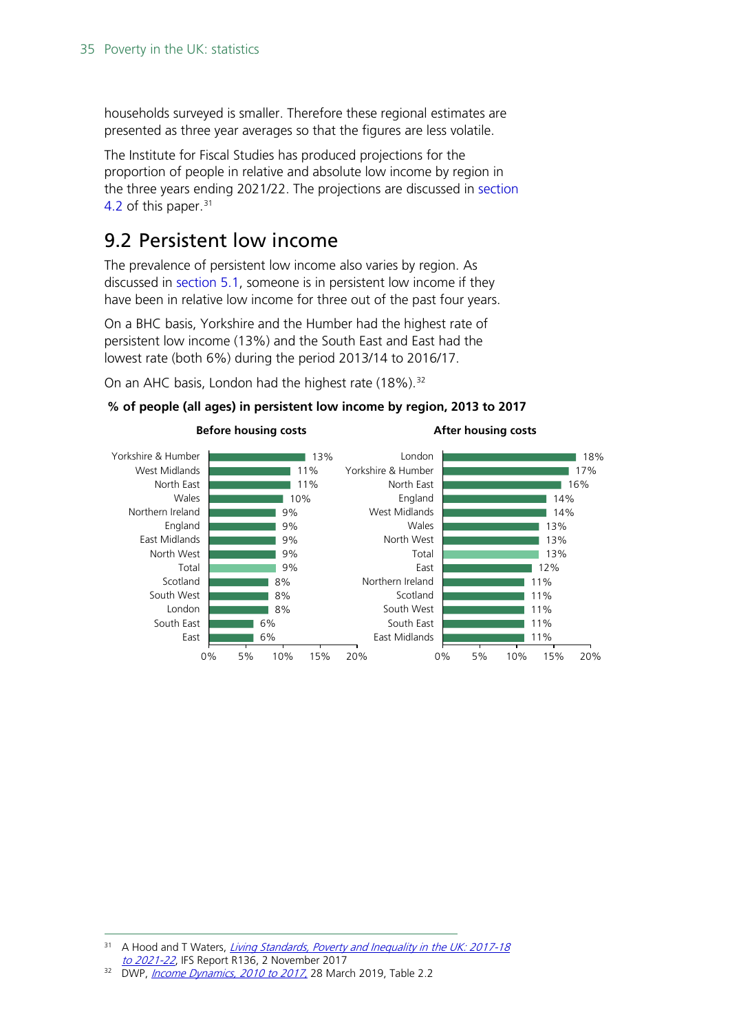households surveyed is smaller. Therefore these regional estimates are presented as three year averages so that the figures are less volatile.

The Institute for Fiscal Studies has produced projections for the proportion of people in relative and absolute low income by region in the three years ending 2021/22. The projections are discussed in [section](#page-19-1)  [4.2](#page-19-1) of this paper.<sup>[31](#page-34-1)</sup>

### <span id="page-34-0"></span>9.2 Persistent low income

The prevalence of persistent low income also varies by region. As discussed in [section 5.1,](#page-22-1) someone is in persistent low income if they have been in relative low income for three out of the past four years.

On a BHC basis, Yorkshire and the Humber had the highest rate of persistent low income (13%) and the South East and East had the lowest rate (both 6%) during the period 2013/14 to 2016/17.

On an AHC basis, London had the highest rate (18%).<sup>[32](#page-34-2)</sup>

#### **% of people (all ages) in persistent low income by region, 2013 to 2017**



<span id="page-34-1"></span><sup>&</sup>lt;sup>31</sup> A Hood and T Waters, *Living Standards, Poverty and Inequality in the UK: 2017-18* to 2021-22[,](https://www.ifs.org.uk/publications/10028) IFS Report R136, 2 November 2017<br><sup>32</sup> DWP, *[Income Dynamics, 2010 to 2017](https://www.gov.uk/government/statistics/income-dynamics-2016-to-2017)*, 28 March 2019, Table 2.2

<span id="page-34-2"></span>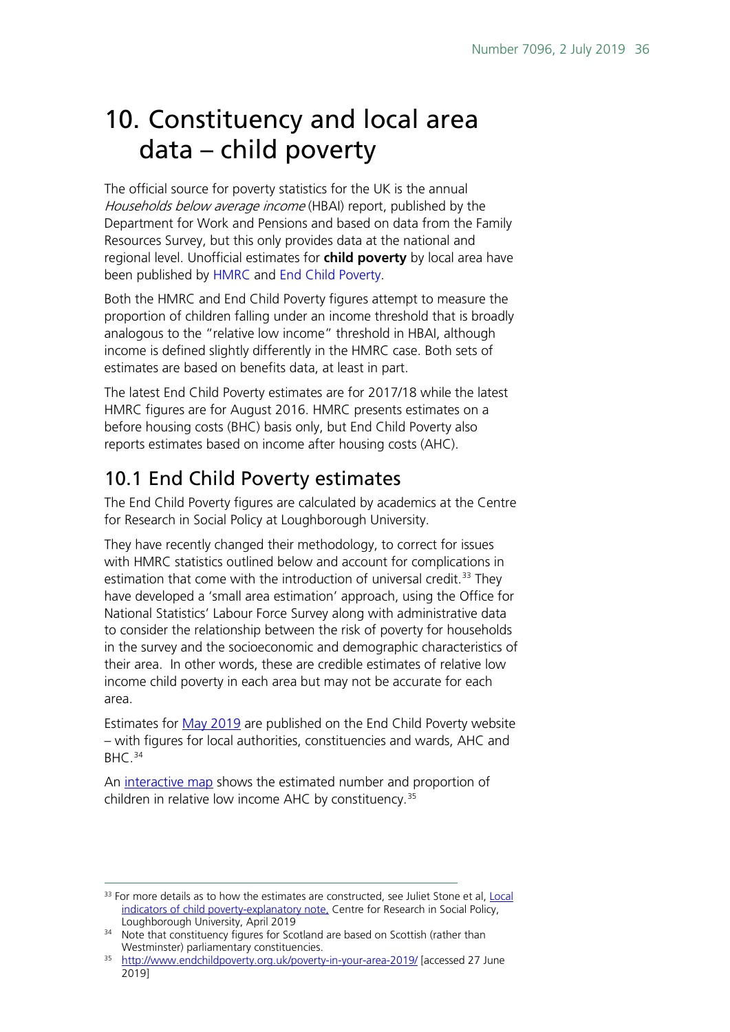# <span id="page-35-0"></span>10. Constituency and local area data – child poverty

The official source for poverty statistics for the UK is the annual Households below average income (HBAI) report, published by the Department for Work and Pensions and based on data from the Family Resources Survey, but this only provides data at the national and regional level. Unofficial estimates for **child poverty** by local area have been published by [HMRC](https://www.gov.uk/government/statistics/personal-tax-credits-children-in-low-income-families-local-measure-2016-snapshot-as-at-31-august-2016) and [End Child Poverty.](http://www.endchildpoverty.org.uk/poverty-in-your-area-2019/)

Both the HMRC and End Child Poverty figures attempt to measure the proportion of children falling under an income threshold that is broadly analogous to the "relative low income" threshold in HBAI, although income is defined slightly differently in the HMRC case. Both sets of estimates are based on benefits data, at least in part.

The latest End Child Poverty estimates are for 2017/18 while the latest HMRC figures are for August 2016. HMRC presents estimates on a before housing costs (BHC) basis only, but End Child Poverty also reports estimates based on income after housing costs (AHC).

## <span id="page-35-1"></span>10.1 End Child Poverty estimates

The End Child Poverty figures are calculated by academics at the Centre for Research in Social Policy at Loughborough University.

They have recently changed their methodology, to correct for issues with HMRC statistics outlined below and account for complications in estimation that come with the introduction of universal credit.<sup>[33](#page-35-2)</sup> They have developed a 'small area estimation' approach, using the Office for National Statistics' Labour Force Survey along with administrative data to consider the relationship between the risk of poverty for households in the survey and the socioeconomic and demographic characteristics of their area. In other words, these are credible estimates of relative low income child poverty in each area but may not be accurate for each area.

Estimates for [May 2019](http://www.endchildpoverty.org.uk/poverty-in-your-area-2019/) are published on the End Child Poverty website – with figures for local authorities, constituencies and wards, AHC and BHC.<sup>[34](#page-35-3)</sup>

An [interactive map](http://www.endchildpoverty.org.uk/poverty-in-your-area-2019/) shows the estimated number and proportion of children in relative low income AHC by constituency. [35](#page-35-4) 

<span id="page-35-2"></span><sup>&</sup>lt;sup>33</sup> For more details as to how the estimates are constructed, see Juliet Stone et al, Local [indicators of child poverty-explanatory note,](http://www.endchildpoverty.org.uk/wp-content/uploads/2019/05/Local-child-poverty-indicators-method-paper-April-2019.pdf) Centre for Research in Social Policy, Loughborough University, April 2019

<span id="page-35-3"></span><sup>&</sup>lt;sup>34</sup> Note that constituency figures for Scotland are based on Scottish (rather than Westminster) parliamentary constituencies.

<span id="page-35-4"></span><sup>&</sup>lt;sup>35</sup> <http://www.endchildpoverty.org.uk/poverty-in-your-area-2019/> [accessed 27 June 2019]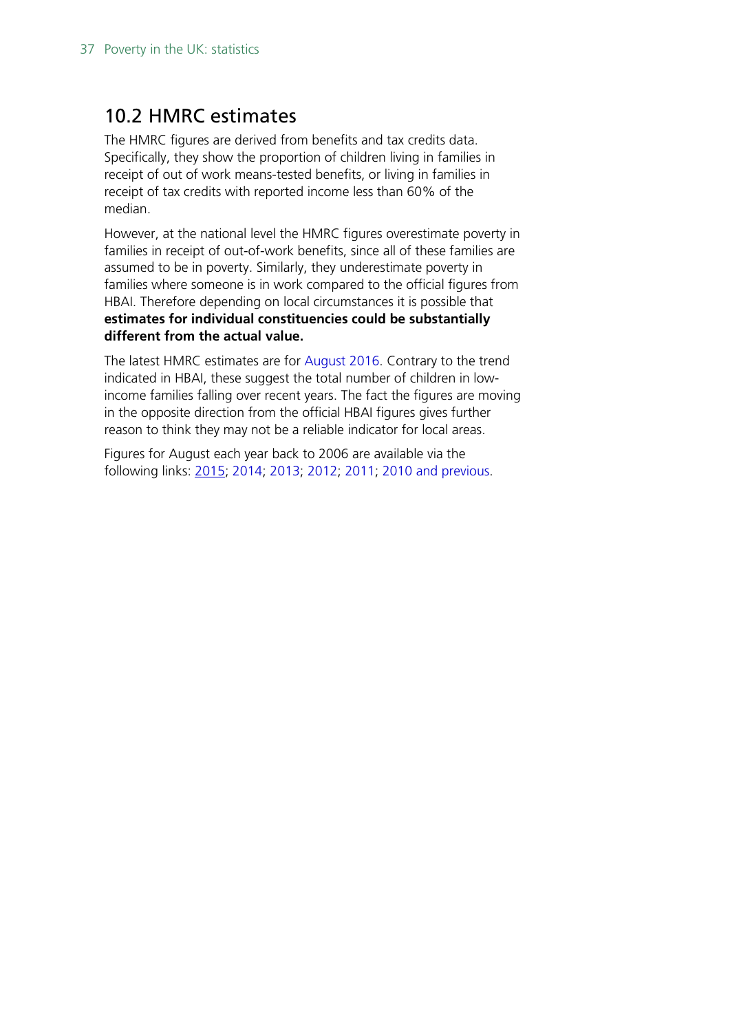## <span id="page-36-0"></span>10.2 HMRC estimates

The HMRC figures are derived from benefits and tax credits data. Specifically, they show the proportion of children living in families in receipt of out of work means-tested benefits, or living in families in receipt of tax credits with reported income less than 60% of the median.

However, at the national level the HMRC figures overestimate poverty in families in receipt of out-of-work benefits, since all of these families are assumed to be in poverty. Similarly, they underestimate poverty in families where someone is in work compared to the official figures from HBAI. Therefore depending on local circumstances it is possible that **estimates for individual constituencies could be substantially different from the actual value.** 

The latest HMRC estimates are for [August 2016.](https://www.gov.uk/government/statistics/personal-tax-credits-children-in-low-income-families-local-measure-2016-snapshot-as-at-31-august-2016) Contrary to the trend indicated in HBAI, these suggest the total number of children in lowincome families falling over recent years. The fact the figures are moving in the opposite direction from the official HBAI figures gives further reason to think they may not be a reliable indicator for local areas.

Figures for August each year back to 2006 are available via the following links: [2015;](https://www.gov.uk/government/statistics/personal-tax-credits-children-in-low-income-families-local-measure-2015-snapshot-as-at-31-august-2015) [2014;](https://www.gov.uk/government/statistics/personal-tax-credits-children-in-low-income-families-local-measure-2014-snapshot-as-at-31-august-2014-30-september-2016) [2013;](https://www.gov.uk/government/statistics/personal-tax-credits-children-in-low-income-families-local-measure-2013-snapshot-as-at-31-august-2013) [2012;](https://www.gov.uk/government/uploads/system/uploads/attachment_data/file/359026/4_CPI_2012_-_Parliamentary_Constituencies.xls) [2011;](http://webarchive.nationalarchives.gov.uk/+/http:/www.hmrc.gov.uk/statistics/child-poverty-stats.htm) [2010 and previous.](http://webarchive.nationalarchives.gov.uk/20121103084242/http:/www.hmrc.gov.uk/stats/personal-tax-credits/child_poverty.htm)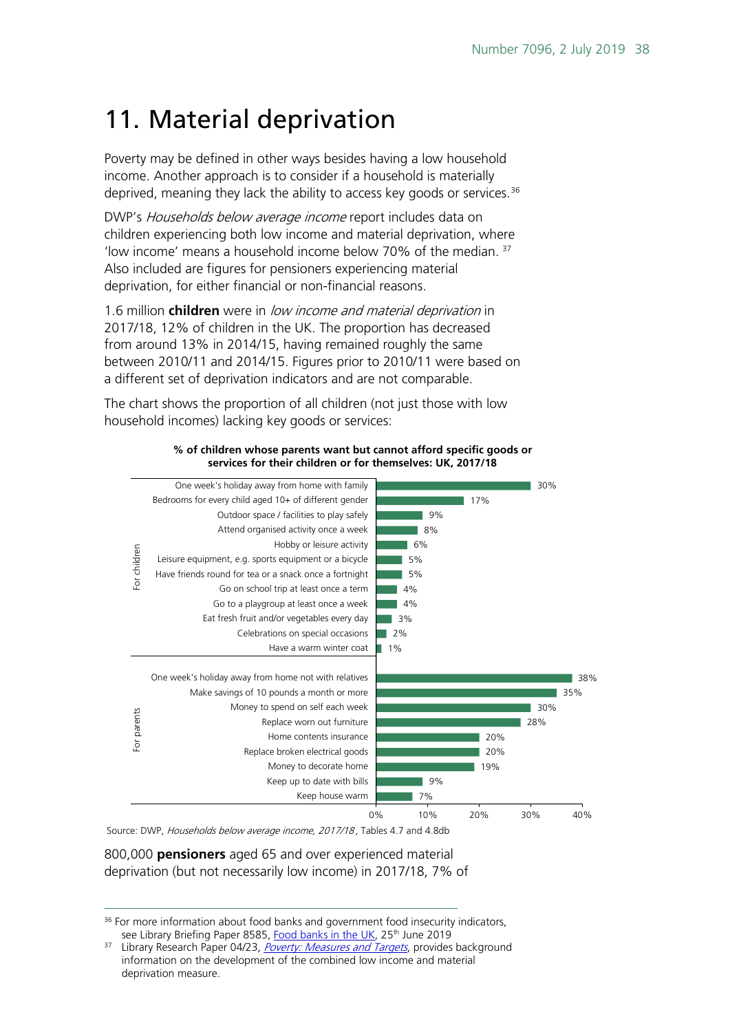# <span id="page-37-0"></span>11. Material deprivation

Poverty may be defined in other ways besides having a low household income. Another approach is to consider if a household is materially deprived, meaning they lack the ability to access key goods or services.  $36$ 

DWP's Households below average income report includes data on children experiencing both low income and material deprivation, where 'low income' means a household income below 70% of the median.  $37$ Also included are figures for pensioners experiencing material deprivation, for either financial or non-financial reasons.

1.6 million **children** were in low income and material deprivation in 2017/18, 12% of children in the UK. The proportion has decreased from around 13% in 2014/15, having remained roughly the same between 2010/11 and 2014/15. Figures prior to 2010/11 were based on a different set of deprivation indicators and are not comparable.

The chart shows the proportion of all children (not just those with low household incomes) lacking key goods or services:



#### **% of children whose parents want but cannot afford specific goods or services for their children or for themselves: UK, 2017/18**

Source: DWP, Households below average income, 2017/18, Tables 4.7 and 4.8db

800,000 **pensioners** aged 65 and over experienced material deprivation (but not necessarily low income) in 2017/18, 7% of

<span id="page-37-1"></span><sup>&</sup>lt;sup>36</sup> For more information about food banks and government food insecurity indicators, see Library Briefing Paper 8585, [Food banks in the UK,](https://researchbriefings.parliament.uk/ResearchBriefing/Summary/CBP-8585) 25<sup>th</sup> June 2019

<span id="page-37-2"></span>Library Research Paper 04/23, [Poverty: Measures and Targets](http://researchbriefings.files.parliament.uk/documents/RP04-23/RP04-23.pdf), provides background information on the development of the combined low income and material deprivation measure.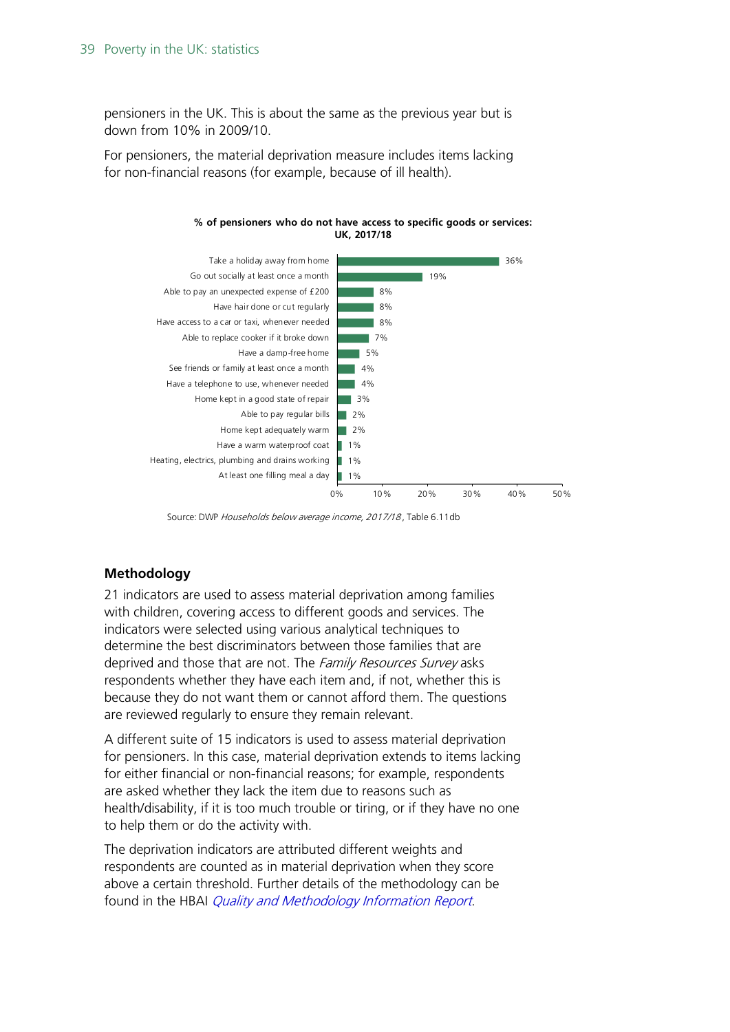pensioners in the UK. This is about the same as the previous year but is down from 10% in 2009/10.

For pensioners, the material deprivation measure includes items lacking for non-financial reasons (for example, because of ill health).



**% of pensioners who do not have access to specific goods or services: UK, 2017/18**

Source: DWP Households below average income, 2017/18 , Table 6.11db

#### **Methodology**

21 indicators are used to assess material deprivation among families with children, covering access to different goods and services. The indicators were selected using various analytical techniques to determine the best discriminators between those families that are deprived and those that are not. The Family Resources Survey asks respondents whether they have each item and, if not, whether this is because they do not want them or cannot afford them. The questions are reviewed regularly to ensure they remain relevant.

A different suite of 15 indicators is used to assess material deprivation for pensioners. In this case, material deprivation extends to items lacking for either financial or non-financial reasons; for example, respondents are asked whether they lack the item due to reasons such as health/disability, if it is too much trouble or tiring, or if they have no one to help them or do the activity with.

The deprivation indicators are attributed different weights and respondents are counted as in material deprivation when they score above a certain threshold. Further details of the methodology can be found in the HBAI *[Quality and Methodology Information Report](https://assets.publishing.service.gov.uk/government/uploads/system/uploads/attachment_data/file/691919/households-below-average-income-quality-methodology-2016-2017.pdf)*.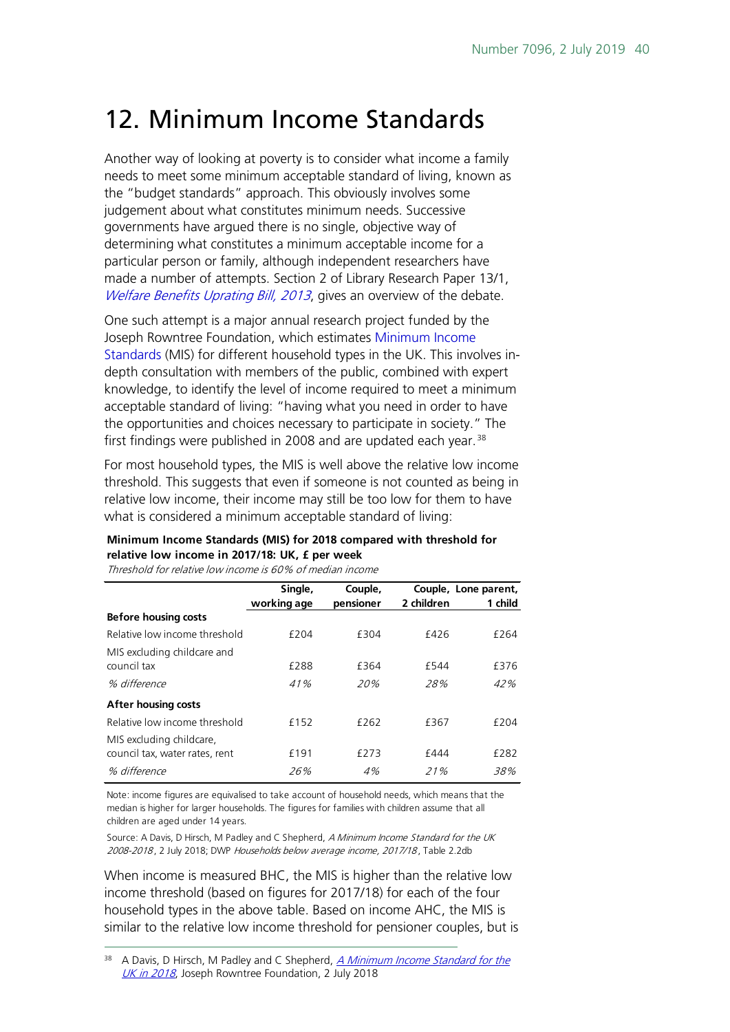# <span id="page-39-0"></span>12. Minimum Income Standards

Another way of looking at poverty is to consider what income a family needs to meet some minimum acceptable standard of living, known as the "budget standards" approach. This obviously involves some judgement about what constitutes minimum needs. Successive governments have argued there is no single, objective way of determining what constitutes a minimum acceptable income for a particular person or family, although independent researchers have made a number of attempts. Section 2 of Library Research Paper 13/1, [Welfare Benefits Uprating Bill, 2013](http://researchbriefings.files.parliament.uk/documents/RP13-1/RP13-1.pdf), gives an overview of the debate.

One such attempt is a major annual research project funded by the Joseph Rowntree Foundation, which estimates [Minimum Income](https://www.jrf.org.uk/report/minimum-income-standard-uk-2017)  [Standards](https://www.jrf.org.uk/report/minimum-income-standard-uk-2017) (MIS) for different household types in the UK. This involves indepth consultation with members of the public, combined with expert knowledge, to identify the level of income required to meet a minimum acceptable standard of living: "having what you need in order to have the opportunities and choices necessary to participate in society." The first findings were published in 2008 and are updated each year.<sup>[38](#page-39-1)</sup>

For most household types, the MIS is well above the relative low income threshold. This suggests that even if someone is not counted as being in relative low income, their income may still be too low for them to have what is considered a minimum acceptable standard of living:

#### **Minimum Income Standards (MIS) for 2018 compared with threshold for relative low income in 2017/18: UK, £ per week**

Threshold for relative low income is 60% of median income

|                                | Single,     | Couple,   |            | Couple, Lone parent, |
|--------------------------------|-------------|-----------|------------|----------------------|
|                                | working age | pensioner | 2 children | 1 child              |
| <b>Before housing costs</b>    |             |           |            |                      |
| Relative low income threshold  | £204        | £304      | £426       | f264                 |
| MIS excluding childcare and    |             |           |            |                      |
| council tax                    | £288        | £364      | £544       | £376                 |
| % difference                   | 41%         | 20%       | 28%        | 42%                  |
| <b>After housing costs</b>     |             |           |            |                      |
| Relative low income threshold  | £152        | £262      | £367       | f204                 |
| MIS excluding childcare,       |             |           |            |                      |
| council tax, water rates, rent | £191        | f273      | £444       | £282                 |
| % difference                   | 26%         | 4%        | 21%        | 38%                  |

Note: income figures are equivalised to take account of household needs, which means that the median is higher for larger households. The figures for families with children assume that all children are aged under 14 years.

Source: A Davis, D Hirsch, M Padley and C Shepherd, A Minimum Income Standard for the UK 2008-2018, 2 July 2018; DWP Households below average income, 2017/18, Table 2.2db

When income is measured BHC, the MIS is higher than the relative low income threshold (based on figures for 2017/18) for each of the four household types in the above table. Based on income AHC, the MIS is similar to the relative low income threshold for pensioner couples, but is

<span id="page-39-1"></span>A Davis, D Hirsch, M Padley and C Shepherd, A Minimum Income Standard for the [UK in 2018](https://www.jrf.org.uk/report/minimum-income-standard-uk-2018), Joseph Rowntree Foundation, 2 July 2018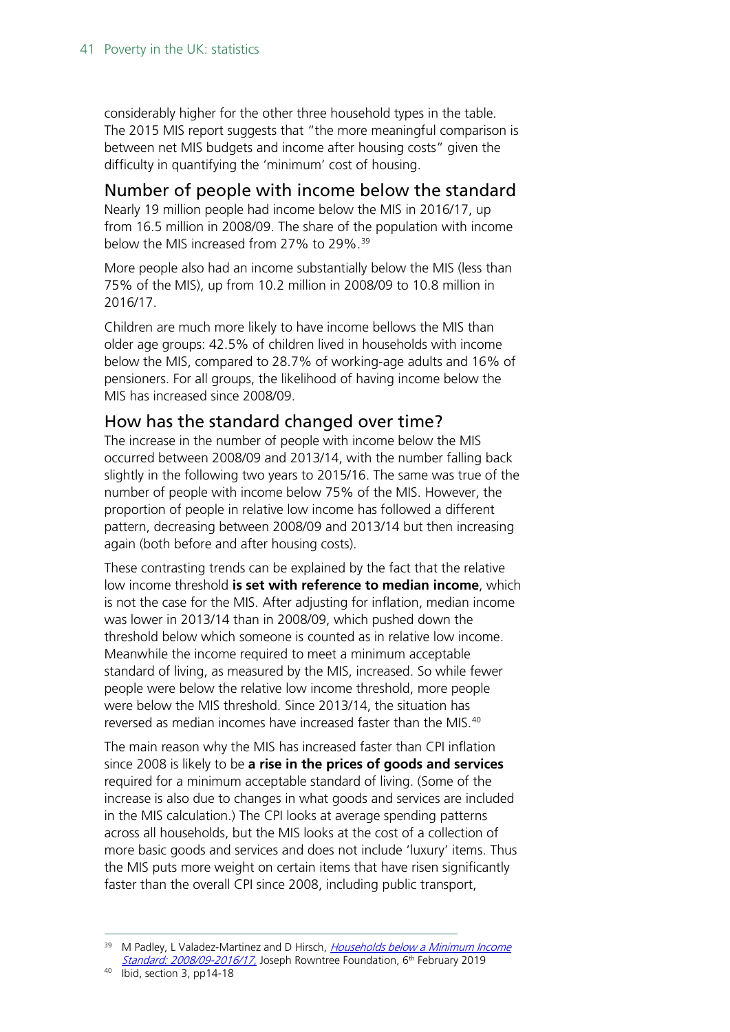considerably higher for the other three household types in the table. The 2015 MIS report suggests that "the more meaningful comparison is between net MIS budgets and income after housing costs" given the difficulty in quantifying the 'minimum' cost of housing.

#### <span id="page-40-0"></span>Number of people with income below the standard

Nearly 19 million people had income below the MIS in 2016/17, up from 16.5 million in 2008/09. The share of the population with income below the MIS increased from 27% to 29%.<sup>[39](#page-40-2)</sup>

More people also had an income substantially below the MIS (less than 75% of the MIS), up from 10.2 million in 2008/09 to 10.8 million in 2016/17.

Children are much more likely to have income bellows the MIS than older age groups: 42.5% of children lived in households with income below the MIS, compared to 28.7% of working-age adults and 16% of pensioners. For all groups, the likelihood of having income below the MIS has increased since 2008/09.

#### <span id="page-40-1"></span>How has the standard changed over time?

The increase in the number of people with income below the MIS occurred between 2008/09 and 2013/14, with the number falling back slightly in the following two years to 2015/16. The same was true of the number of people with income below 75% of the MIS. However, the proportion of people in relative low income has followed a different pattern, decreasing between 2008/09 and 2013/14 but then increasing again (both before and after housing costs).

These contrasting trends can be explained by the fact that the relative low income threshold **is set with reference to median income**, which is not the case for the MIS. After adjusting for inflation, median income was lower in 2013/14 than in 2008/09, which pushed down the threshold below which someone is counted as in relative low income. Meanwhile the income required to meet a minimum acceptable standard of living, as measured by the MIS, increased. So while fewer people were below the relative low income threshold, more people were below the MIS threshold. Since 2013/14, the situation has reversed as median incomes have increased faster than the MIS.<sup>[40](#page-40-3)</sup>

The main reason why the MIS has increased faster than CPI inflation since 2008 is likely to be **a rise in the prices of goods and services**  required for a minimum acceptable standard of living. (Some of the increase is also due to changes in what goods and services are included in the MIS calculation.) The CPI looks at average spending patterns across all households, but the MIS looks at the cost of a collection of more basic goods and services and does not include 'luxury' items. Thus the MIS puts more weight on certain items that have risen significantly faster than the overall CPI since 2008, including public transport,

<span id="page-40-2"></span><sup>&</sup>lt;sup>39</sup> M Padley, L Valadez-Martinez and D Hirsch, Households below a Minimum Income [Standard: 2008/09-2016/17](https://www.jrf.org.uk/report/households-below-minimum-income-standard-200809-201617), Joseph Rowntree Foundation, 6<sup>th</sup> February 2019

<span id="page-40-3"></span><sup>40</sup> Ibid, section 3, pp14-18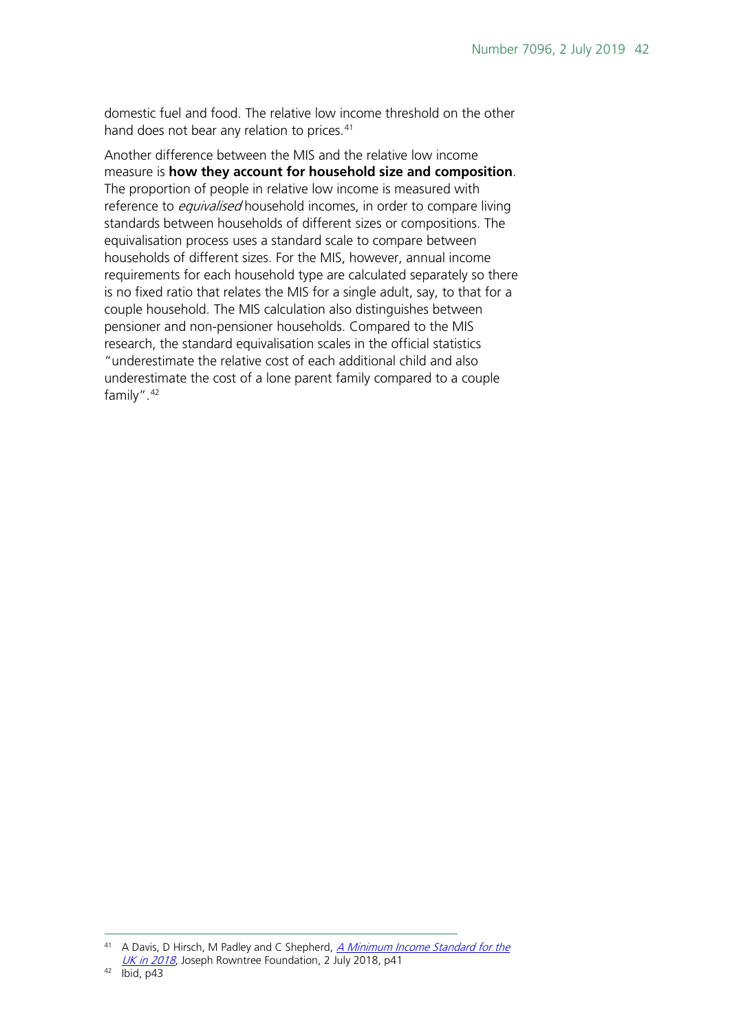domestic fuel and food. The relative low income threshold on the other hand does not bear any relation to prices.<sup>[41](#page-41-0)</sup>

Another difference between the MIS and the relative low income measure is **how they account for household size and composition**. The proportion of people in relative low income is measured with reference to *equivalised* household incomes, in order to compare living standards between households of different sizes or compositions. The equivalisation process uses a standard scale to compare between households of different sizes. For the MIS, however, annual income requirements for each household type are calculated separately so there is no fixed ratio that relates the MIS for a single adult, say, to that for a couple household. The MIS calculation also distinguishes between pensioner and non-pensioner households. Compared to the MIS research, the standard equivalisation scales in the official statistics "underestimate the relative cost of each additional child and also underestimate the cost of a lone parent family compared to a couple family".[42](#page-41-1)

<span id="page-41-1"></span><span id="page-41-0"></span><sup>&</sup>lt;sup>41</sup> A Davis, D Hirsch, M Padley and C Shepherd, A Minimum Income Standard for the [UK in 2018](https://www.jrf.org.uk/report/minimum-income-standard-uk-2018), Joseph Rowntree Foundation, 2 July 2018, p41